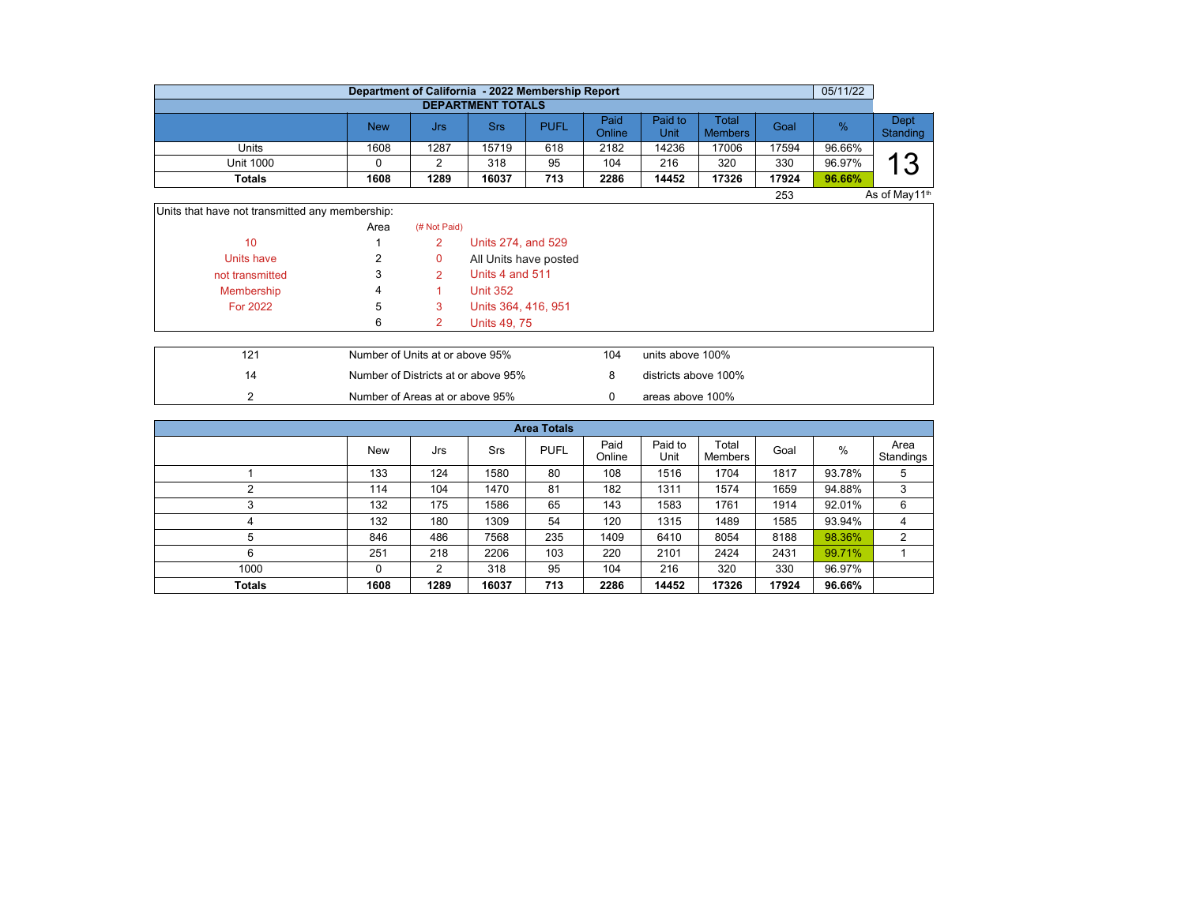|                  | 05/11/22<br>Department of California - 2022 Membership Report |      |                          |             |                |                 |                         |       |        |                  |  |  |  |  |  |
|------------------|---------------------------------------------------------------|------|--------------------------|-------------|----------------|-----------------|-------------------------|-------|--------|------------------|--|--|--|--|--|
|                  |                                                               |      | <b>DEPARTMENT TOTALS</b> |             |                |                 |                         |       |        |                  |  |  |  |  |  |
|                  | <b>New</b>                                                    | Jrs  | Srs                      | <b>PUFL</b> | Paid<br>Online | Paid to<br>Unit | Total<br><b>Members</b> | Goal  | %      | Dept<br>Standing |  |  |  |  |  |
| Units            | 1608                                                          | 1287 | 15719                    | 618         | 2182           | 14236           | 17006                   | 17594 | 96.66% |                  |  |  |  |  |  |
| <b>Unit 1000</b> |                                                               |      | 318                      | 95          | 104            | 216             | 320                     | 330   | 96.97% | 0<br>N           |  |  |  |  |  |
| <b>Totals</b>    | 1608                                                          | 1289 | 16037                    | 713         | 2286           | 14452           | 17326                   | 17924 | 96.66% |                  |  |  |  |  |  |
|                  | As of May11 <sup>th</sup><br>253                              |      |                          |             |                |                 |                         |       |        |                  |  |  |  |  |  |

Units that have not transmitted any membership:

|                 | Area | (# Not Paid) |                       |
|-----------------|------|--------------|-----------------------|
| 10              |      | 2            | Units 274, and 529    |
| Units have      | 2    | 0            | All Units have posted |
| not transmitted | 3    |              | Units 4 and 511       |
| Membership      | 4    |              | <b>Unit 352</b>       |
| <b>For 2022</b> | 5    | 3            | Units 364, 416, 951   |
|                 | 6    |              | Units 49, 75          |

| 121 | Number of Units at or above 95%     | 104 | units above 100%     |
|-----|-------------------------------------|-----|----------------------|
|     | Number of Districts at or above 95% |     | districts above 100% |
|     | Number of Areas at or above 95%     |     | areas above 100%     |

| <b>Area Totals</b>                                                                         |            |     |      |             |                |                 |                  |      |        |                   |  |  |  |
|--------------------------------------------------------------------------------------------|------------|-----|------|-------------|----------------|-----------------|------------------|------|--------|-------------------|--|--|--|
|                                                                                            | <b>New</b> | Jrs | Srs  | <b>PUFL</b> | Paid<br>Online | Paid to<br>Unit | Total<br>Members | Goal | %      | Area<br>Standings |  |  |  |
|                                                                                            | 133        | 124 | 1580 | 80          | 108            | 1516            | 1704             | 1817 | 93.78% | 5                 |  |  |  |
|                                                                                            | 114        | 104 | 1470 | 81          | 182            | 1311            | 1574             | 1659 | 94.88% | 3                 |  |  |  |
| 3                                                                                          | 132        | 175 | 1586 | 65          | 143            | 1583            | 1761             | 1914 | 92.01% | 6                 |  |  |  |
| 4                                                                                          | 132        | 180 | 1309 | 54          | 120            | 1315            | 1489             | 1585 | 93.94% | 4                 |  |  |  |
| 5                                                                                          | 846        | 486 | 7568 | 235         | 1409           | 6410            | 8054             | 8188 | 98.36% | 2                 |  |  |  |
| 6                                                                                          | 251        | 218 | 2206 | 103         | 220            | 2101            | 2424             | 2431 | 99.71% |                   |  |  |  |
| 1000                                                                                       | 0          | 2   | 318  | 95          | 104            | 216             | 320              | 330  | 96.97% |                   |  |  |  |
| 96.66%<br>1608<br>1289<br>16037<br>2286<br><b>Totals</b><br>713<br>14452<br>17326<br>17924 |            |     |      |             |                |                 |                  |      |        |                   |  |  |  |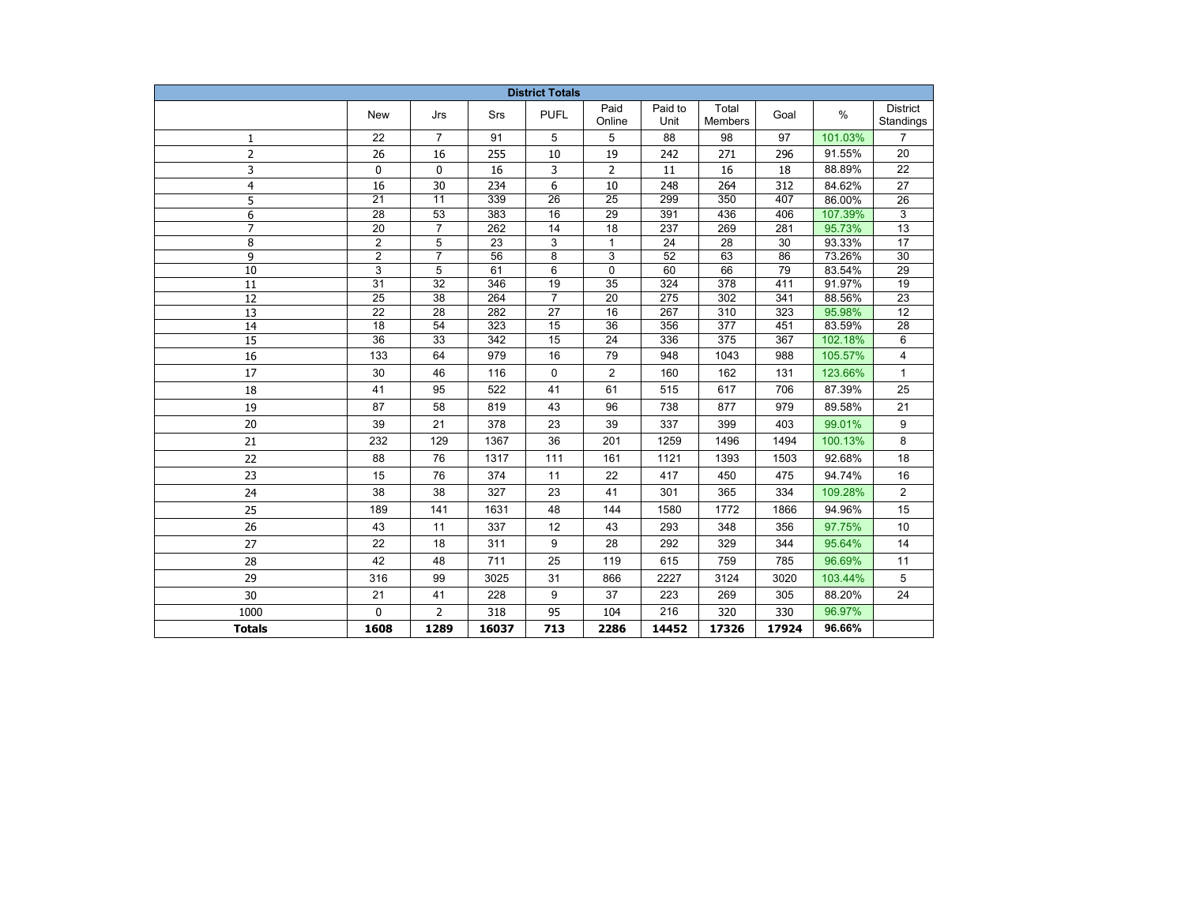| <b>District Totals</b> |                 |                 |                  |                 |                 |                  |                  |       |         |                              |
|------------------------|-----------------|-----------------|------------------|-----------------|-----------------|------------------|------------------|-------|---------|------------------------------|
|                        | <b>New</b>      | Jrs             | Srs              | <b>PUFL</b>     | Paid<br>Online  | Paid to<br>Unit  | Total<br>Members | Goal  | $\%$    | <b>District</b><br>Standings |
| $\mathbf{1}$           | 22              | $\overline{7}$  | 91               | 5               | 5               | 88               | 98               | 97    | 101.03% | $\overline{7}$               |
| $\overline{2}$         | 26              | 16              | 255              | 10              | 19              | 242              | 271              | 296   | 91.55%  | 20                           |
| 3                      | 0               | 0               | 16               | 3               | 2               | 11               | 16               | 18    | 88.89%  | 22                           |
| 4                      | 16              | 30              | 234              | 6               | 10              | 248              | 264              | 312   | 84.62%  | 27                           |
| 5                      | $\overline{21}$ | $\overline{11}$ | 339              | $\overline{26}$ | $\overline{25}$ | 299              | 350              | 407   | 86.00%  | 26                           |
| 6                      | $\overline{28}$ | $\overline{53}$ | 383              | 16              | $\overline{29}$ | 391              | 436              | 406   | 107.39% | 3                            |
| $\overline{7}$         | $\overline{20}$ | $\overline{7}$  | $\overline{262}$ | 14              | $\overline{18}$ | $\overline{237}$ | 269              | 281   | 95.73%  | 13                           |
| 8                      | $\overline{2}$  | 5               | $\overline{23}$  | 3               | $\mathbf{1}$    | $\overline{24}$  | 28               | 30    | 93.33%  | $\overline{17}$              |
| 9                      | $\overline{2}$  | $\overline{7}$  | 56               | 8               | 3               | 52               | 63               | 86    | 73.26%  | 30                           |
| 10                     | 3               | 5               | 61               | 6               | 0               | 60               | 66               | 79    | 83.54%  | 29                           |
| 11                     | 31              | 32              | 346              | 19              | 35              | 324              | 378              | 411   | 91.97%  | 19                           |
| 12                     | 25              | 38              | 264              | $\overline{7}$  | 20              | 275              | 302              | 341   | 88.56%  | 23                           |
| 13                     | 22              | 28              | 282              | 27              | 16              | 267              | 310              | 323   | 95.98%  | 12                           |
| 14                     | $\overline{18}$ | 54              | 323              | 15              | $\overline{36}$ | 356              | 377              | 451   | 83.59%  | 28                           |
| $\overline{15}$        | $\overline{36}$ | $\overline{33}$ | $\overline{342}$ | 15              | $\overline{24}$ | 336              | 375              | 367   | 102.18% | 6                            |
| 16                     | 133             | 64              | 979              | 16              | 79              | 948              | 1043             | 988   | 105.57% | 4                            |
| 17                     | 30              | 46              | 116              | 0               | $\overline{2}$  | 160              | 162              | 131   | 123.66% | $\mathbf{1}$                 |
| 18                     | 41              | 95              | 522              | 41              | 61              | 515              | 617              | 706   | 87.39%  | 25                           |
| 19                     | 87              | 58              | 819              | 43              | 96              | 738              | 877              | 979   | 89.58%  | 21                           |
| 20                     | 39              | 21              | 378              | 23              | 39              | 337              | 399              | 403   | 99.01%  | 9                            |
| 21                     | 232             | 129             | 1367             | 36              | 201             | 1259             | 1496             | 1494  | 100.13% | 8                            |
| 22                     | 88              | 76              | 1317             | 111             | 161             | 1121             | 1393             | 1503  | 92.68%  | 18                           |
| 23                     | 15              | 76              | 374              | 11              | 22              | 417              | 450              | 475   | 94.74%  | 16                           |
| 24                     | 38              | 38              | 327              | 23              | 41              | 301              | 365              | 334   | 109.28% | 2                            |
| 25                     | 189             | 141             | 1631             | 48              | 144             | 1580             | 1772             | 1866  | 94.96%  | 15                           |
| 26                     | 43              | 11              | 337              | 12              | 43              | 293              | 348              | 356   | 97.75%  | 10                           |
| 27                     | 22              | 18              | 311              | 9               | 28              | 292              | 329              | 344   | 95.64%  | 14                           |
| 28                     | 42              | 48              | 711              | 25              | 119             | 615              | 759              | 785   | 96.69%  | 11                           |
| 29                     | 316             | 99              | 3025             | 31              | 866             | 2227             | 3124             | 3020  | 103.44% | 5                            |
| 30                     | 21              | 41              | 228              | 9               | 37              | 223              | 269              | 305   | 88.20%  | 24                           |
| 1000                   | 0               | $\overline{2}$  | 318              | 95              | 104             | 216              | 320              | 330   | 96.97%  |                              |
| <b>Totals</b>          | 1608            | 1289            | 16037            | 713             | 2286            | 14452            | 17326            | 17924 | 96.66%  |                              |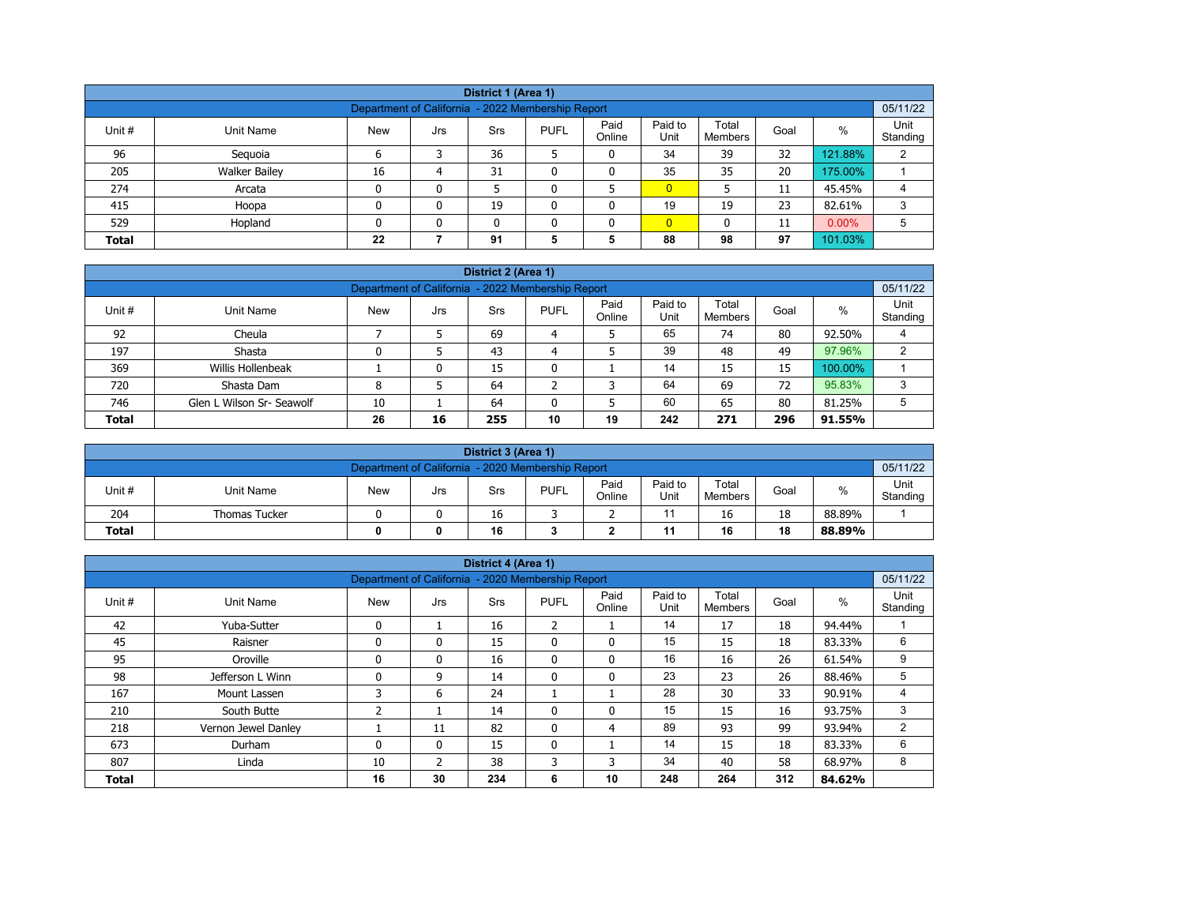| District 1 (Area 1)                                           |                                                                                                                                                      |    |   |    |   |   |                |    |    |         |   |  |  |  |
|---------------------------------------------------------------|------------------------------------------------------------------------------------------------------------------------------------------------------|----|---|----|---|---|----------------|----|----|---------|---|--|--|--|
| 05/11/22<br>Department of California - 2022 Membership Report |                                                                                                                                                      |    |   |    |   |   |                |    |    |         |   |  |  |  |
| Unit #                                                        | Paid<br>Paid to<br>Total<br>%<br><b>New</b><br><b>PUFL</b><br>Unit Name<br><b>Srs</b><br>Goal<br>Jrs<br>Unit<br>Standing<br>Online<br><b>Members</b> |    |   |    |   |   |                |    |    |         |   |  |  |  |
| 96                                                            | Seguoia                                                                                                                                              | 6  |   | 36 |   | 0 | 34             | 39 | 32 | 121.88% | 2 |  |  |  |
| 205                                                           | <b>Walker Bailey</b>                                                                                                                                 | 16 | 4 | 31 |   |   | 35             | 35 | 20 | 175.00% |   |  |  |  |
| 274                                                           | Arcata                                                                                                                                               |    | 0 |    |   |   | $\overline{0}$ |    | 11 | 45.45%  | 4 |  |  |  |
| 415                                                           | Hoopa                                                                                                                                                |    | 0 | 19 |   |   | 19             | 19 | 23 | 82.61%  | 3 |  |  |  |
| 529                                                           | $\overline{0}$<br>$0.00\%$<br>5<br>Hopland<br>11<br>0<br>0<br>0                                                                                      |    |   |    |   |   |                |    |    |         |   |  |  |  |
| <b>Total</b>                                                  |                                                                                                                                                      | 22 |   | 91 | 5 | 5 | 88             | 98 | 97 | 101.03% |   |  |  |  |

| District 2 (Area 1) |                                                                                                                                                   |    |    |     |    |    |     |     |     |         |   |  |  |  |
|---------------------|---------------------------------------------------------------------------------------------------------------------------------------------------|----|----|-----|----|----|-----|-----|-----|---------|---|--|--|--|
|                     | 05/11/22<br>Department of California - 2022 Membership Report                                                                                     |    |    |     |    |    |     |     |     |         |   |  |  |  |
| Unit #              | Paid<br>Paid to<br>Unit<br>Total<br>$\%$<br><b>PUFL</b><br><b>New</b><br>Unit Name<br>Srs<br>Goal<br>Jrs<br>Unit<br>Standing<br>Online<br>Members |    |    |     |    |    |     |     |     |         |   |  |  |  |
| 92                  | Cheula                                                                                                                                            |    |    | 69  | 4  |    | 65  | 74  | 80  | 92.50%  |   |  |  |  |
| 197                 | Shasta                                                                                                                                            |    |    | 43  | 4  |    | 39  | 48  | 49  | 97.96%  | ົ |  |  |  |
| 369                 | Willis Hollenbeak                                                                                                                                 |    | 0  | 15  | 0  |    | 14  | 15  | 15  | 100.00% |   |  |  |  |
| 720                 | Shasta Dam                                                                                                                                        | 8  |    | 64  | ີ  | 3  | 64  | 69  | 72  | 95.83%  | 3 |  |  |  |
| 746                 | 60<br>80<br>65<br>5<br>Glen L Wilson Sr- Seawolf<br>64<br>5<br>81.25%<br>10<br>0                                                                  |    |    |     |    |    |     |     |     |         |   |  |  |  |
| <b>Total</b>        |                                                                                                                                                   | 26 | 16 | 255 | 10 | 19 | 242 | 271 | 296 | 91.55%  |   |  |  |  |

| District 3 (Area 1) |                                                               |            |     |     |             |                |                 |                  |      |        |                  |  |  |  |
|---------------------|---------------------------------------------------------------|------------|-----|-----|-------------|----------------|-----------------|------------------|------|--------|------------------|--|--|--|
|                     | 05/11/22<br>Department of California - 2020 Membership Report |            |     |     |             |                |                 |                  |      |        |                  |  |  |  |
| Unit#               | Unit Name                                                     | <b>New</b> | Jrs | Srs | <b>PUFL</b> | Paid<br>Online | Paid to<br>Unit | Total<br>Members | Goal | %      | Unit<br>Standing |  |  |  |
| 204                 | <b>Thomas Tucker</b>                                          |            |     | 16  |             |                |                 | 16               | 18   | 88.89% |                  |  |  |  |
| <b>Total</b>        | 16<br>18<br>16<br>11<br>88.89%<br>0                           |            |     |     |             |                |                 |                  |      |        |                  |  |  |  |

|              |                                                                                                                                                          |                                                   |              | District 4 (Area 1) |                |              |     |     |     |        |          |  |
|--------------|----------------------------------------------------------------------------------------------------------------------------------------------------------|---------------------------------------------------|--------------|---------------------|----------------|--------------|-----|-----|-----|--------|----------|--|
|              |                                                                                                                                                          | Department of California - 2020 Membership Report |              |                     |                |              |     |     |     |        | 05/11/22 |  |
| Unit#        | Paid to<br>Unit<br>Paid<br>Total<br>$\%$<br><b>PUFL</b><br><b>Unit Name</b><br><b>New</b><br>Srs<br>Goal<br>Jrs<br>Unit<br>Online<br>Standing<br>Members |                                                   |              |                     |                |              |     |     |     |        |          |  |
| 42           | Yuba-Sutter                                                                                                                                              | $\mathbf{0}$                                      |              | 16                  | $\overline{2}$ |              | 14  | 17  | 18  | 94.44% |          |  |
| 45           | Raisner                                                                                                                                                  | $\mathbf{0}$                                      | 0            | 15                  | $\mathbf{0}$   | $\mathbf{0}$ | 15  | 15  | 18  | 83.33% | 6        |  |
| 95           | Oroville                                                                                                                                                 | $\Omega$                                          | 0            | 16                  | $\mathbf{0}$   | $\mathbf{0}$ | 16  | 16  | 26  | 61.54% | 9        |  |
| 98           | Jefferson L Winn                                                                                                                                         | $\mathbf{0}$                                      | 9            | 14                  | 0              | 0            | 23  | 23  | 26  | 88.46% | 5        |  |
| 167          | Mount Lassen                                                                                                                                             | 3                                                 | 6            | 24                  |                |              | 28  | 30  | 33  | 90.91% | 4        |  |
| 210          | South Butte                                                                                                                                              | 2                                                 |              | 14                  | $\mathbf{0}$   | 0            | 15  | 15  | 16  | 93.75% | 3        |  |
| 218          | Vernon Jewel Danley                                                                                                                                      |                                                   | 11           | 82                  | $\mathbf{0}$   | 4            | 89  | 93  | 99  | 93.94% | 2        |  |
| 673          | Durham                                                                                                                                                   | $\mathbf{0}$                                      | $\mathbf{0}$ | 15                  | $\mathbf{0}$   |              | 14  | 15  | 18  | 83.33% | 6        |  |
| 807          | Linda                                                                                                                                                    | 10                                                | 2            | 38                  | 3              | 3            | 34  | 40  | 58  | 68.97% | 8        |  |
| <b>Total</b> |                                                                                                                                                          | 16                                                | 30           | 234                 | 6              | 10           | 248 | 264 | 312 | 84.62% |          |  |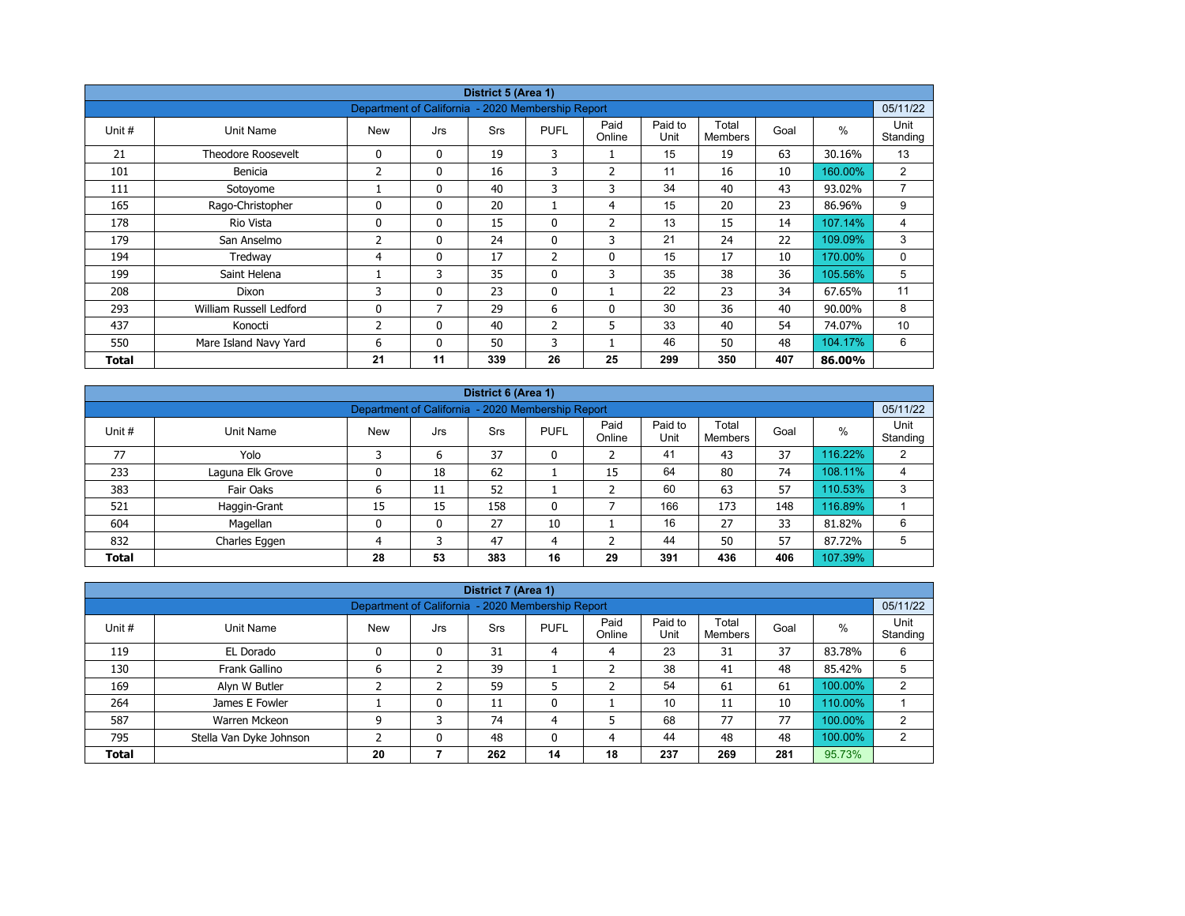| District 5 (Area 1) |                           |                                                   |              |            |                |                |                 |                         |      |         |                  |  |
|---------------------|---------------------------|---------------------------------------------------|--------------|------------|----------------|----------------|-----------------|-------------------------|------|---------|------------------|--|
|                     |                           | Department of California - 2020 Membership Report |              |            |                |                |                 |                         |      |         | 05/11/22         |  |
| Unit #              | Unit Name                 | <b>New</b>                                        | Jrs          | <b>Srs</b> | <b>PUFL</b>    | Paid<br>Online | Paid to<br>Unit | Total<br><b>Members</b> | Goal | $\%$    | Unit<br>Standing |  |
| 21                  | <b>Theodore Roosevelt</b> | 0                                                 | $\mathbf{0}$ | 19         | 3              |                | 15              | 19                      | 63   | 30.16%  | 13               |  |
| 101                 | Benicia                   | 2                                                 | 0            | 16         | 3              | $\overline{2}$ | 11              | 16                      | 10   | 160.00% | $\overline{2}$   |  |
| 111                 | Sotoyome                  |                                                   | $\mathbf{0}$ | 40         | 3              | 3              | 34              | 40                      | 43   | 93.02%  | $\overline{7}$   |  |
| 165                 | Rago-Christopher          | $\Omega$                                          | $\mathbf{0}$ | 20         |                | 4              | 15              | 20                      | 23   | 86.96%  | 9                |  |
| 178                 | Rio Vista                 | 0                                                 | 0            | 15         | 0              | $\overline{2}$ | 13              | 15                      | 14   | 107.14% | 4                |  |
| 179                 | San Anselmo               | 2                                                 | $\mathbf{0}$ | 24         | $\mathbf{0}$   | 3              | 21              | 24                      | 22   | 109.09% | 3                |  |
| 194                 | Tredway                   | 4                                                 | 0            | 17         | $\overline{2}$ | $\mathbf 0$    | 15              | 17                      | 10   | 170.00% | 0                |  |
| 199                 | Saint Helena              |                                                   | 3            | 35         | $\mathbf{0}$   | 3              | 35              | 38                      | 36   | 105.56% | 5                |  |
| 208                 | Dixon                     | 3                                                 | $\mathbf{0}$ | 23         | $\mathbf{0}$   |                | 22              | 23                      | 34   | 67.65%  | 11               |  |
| 293                 | William Russell Ledford   | $\mathbf{0}$                                      | 7            | 29         | 6              | $\mathbf{0}$   | 30              | 36                      | 40   | 90.00%  | 8                |  |
| 437                 | Konocti                   | 2                                                 | $\mathbf{0}$ | 40         | $\overline{2}$ | 5              | 33              | 40                      | 54   | 74.07%  | 10               |  |
| 550                 | Mare Island Navy Yard     | 6                                                 | 0            | 50         | 3              |                | 46              | 50                      | 48   | 104.17% | 6                |  |
| Total               |                           | 21                                                | 11           | 339        | 26             | 25             | 299             | 350                     | 407  | 86.00%  |                  |  |

|              | District 6 (Area 1)                                           |            |     |            |             |                |                 |                  |      |         |                  |  |  |  |
|--------------|---------------------------------------------------------------|------------|-----|------------|-------------|----------------|-----------------|------------------|------|---------|------------------|--|--|--|
|              | 05/11/22<br>Department of California - 2020 Membership Report |            |     |            |             |                |                 |                  |      |         |                  |  |  |  |
| Unit #       | Unit Name                                                     | <b>New</b> | Jrs | <b>Srs</b> | <b>PUFL</b> | Paid<br>Online | Paid to<br>Unit | Total<br>Members | Goal | %       | Unit<br>Standing |  |  |  |
| 77           | Yolo                                                          | っ          | 6   | 37         | 0           |                | 41              | 43               | 37   | 116.22% | 2                |  |  |  |
| 233          | Laguna Elk Grove                                              | 0          | 18  | 62         |             | 15             | 64              | 80               | 74   | 108.11% | 4                |  |  |  |
| 383          | Fair Oaks                                                     | ь          | 11  | 52         |             |                | 60              | 63               | 57   | 110.53% | 3                |  |  |  |
| 521          | Haggin-Grant                                                  | 15         | 15  | 158        | 0           |                | 166             | 173              | 148  | 116.89% |                  |  |  |  |
| 604          | Magellan                                                      | 0          | 0   | 27         | 10          |                | 16              | 27               | 33   | 81.82%  | 6                |  |  |  |
| 832          | Charles Eggen                                                 | 4          | 3   | 47         | 4           |                | 44              | 50               | 57   | 87.72%  | 5                |  |  |  |
| <b>Total</b> |                                                               | 28         | 53  | 383        | 16          | 29             | 391             | 436              | 406  | 107.39% |                  |  |  |  |

|              | District 7 (Area 1)     |                                                   |     |            |             |                |                 |                  |      |         |                  |  |  |  |
|--------------|-------------------------|---------------------------------------------------|-----|------------|-------------|----------------|-----------------|------------------|------|---------|------------------|--|--|--|
|              |                         | Department of California - 2020 Membership Report |     |            |             |                |                 |                  |      |         | 05/11/22         |  |  |  |
| Unit #       | Unit Name               | <b>New</b>                                        | Jrs | <b>Srs</b> | <b>PUFL</b> | Paid<br>Online | Paid to<br>Unit | Total<br>Members | Goal | $\%$    | Unit<br>Standing |  |  |  |
| 119          | EL Dorado               | 0                                                 | 0   | 31         | 4           | 4              | 23              | 31               | 37   | 83.78%  | 6                |  |  |  |
| 130          | Frank Gallino           | ь                                                 |     | 39         |             |                | 38              | 41               | 48   | 85.42%  | 5                |  |  |  |
| 169          | Alyn W Butler           |                                                   |     | 59         |             |                | 54              | 61               | 61   | 100.00% | C.               |  |  |  |
| 264          | James E Fowler          |                                                   | 0   | 11         | 0           |                | 10              | 11               | 10   | 110.00% |                  |  |  |  |
| 587          | Warren Mckeon           | 9                                                 | 3   | 74         | 4           | 5              | 68              | 77               | 77   | 100.00% | 2                |  |  |  |
| 795          | Stella Van Dyke Johnson |                                                   | 0   | 48         | 0           | 4              | 44              | 48               | 48   | 100.00% | C                |  |  |  |
| <b>Total</b> |                         | 20                                                |     | 262        | 14          | 18             | 237             | 269              | 281  | 95.73%  |                  |  |  |  |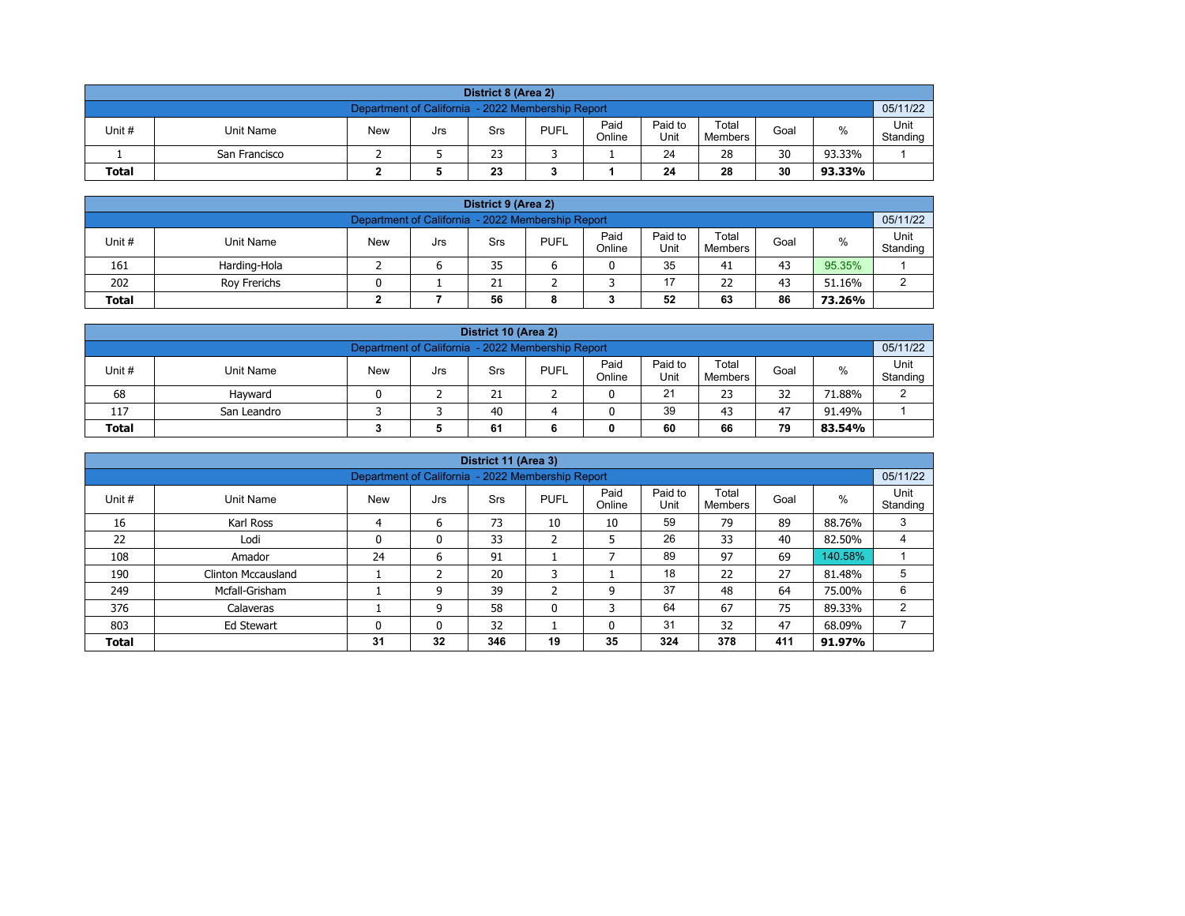| District 8 (Area 2) |                                                                                                                                        |  |  |    |  |  |    |    |    |        |  |  |  |  |
|---------------------|----------------------------------------------------------------------------------------------------------------------------------------|--|--|----|--|--|----|----|----|--------|--|--|--|--|
|                     | 05/11/22<br>Department of California - 2022 Membership Report                                                                          |  |  |    |  |  |    |    |    |        |  |  |  |  |
| Unit #              | Paid<br>Paid to<br>Total<br>%<br><b>PUFL</b><br><b>New</b><br>Unit Name<br>Goal<br>Srs<br>Jrs<br>Online<br>Unit<br>Standing<br>Members |  |  |    |  |  |    |    |    |        |  |  |  |  |
|                     | San Francisco                                                                                                                          |  |  | 23 |  |  | 24 | 28 | 30 | 93.33% |  |  |  |  |
| <b>Total</b>        | 30<br>23<br>28<br>24<br>93.33%                                                                                                         |  |  |    |  |  |    |    |    |        |  |  |  |  |

| District 9 (Area 2)                                                                                                                                    |                                                     |  |  |    |  |  |    |    |    |        |  |  |  |
|--------------------------------------------------------------------------------------------------------------------------------------------------------|-----------------------------------------------------|--|--|----|--|--|----|----|----|--------|--|--|--|
| 05/11/22<br>Department of California - 2022 Membership Report                                                                                          |                                                     |  |  |    |  |  |    |    |    |        |  |  |  |
| Paid<br>Paid to<br>Total<br>Unit#<br><b>PUFL</b><br>%<br><b>New</b><br><b>Unit Name</b><br>Goal<br>Srs<br>Jrs<br>Standing<br>Online<br>Unit<br>Members |                                                     |  |  |    |  |  |    |    |    |        |  |  |  |
| 161                                                                                                                                                    | Harding-Hola                                        |  |  | 35 |  |  | 35 | 41 | 43 | 95.35% |  |  |  |
| 202                                                                                                                                                    | 17<br>22<br>43<br>21<br>51.16%<br>Rov Frerichs<br>ົ |  |  |    |  |  |    |    |    |        |  |  |  |
| 52<br>86<br>56<br>63<br><b>Total</b><br>73.26%<br>8                                                                                                    |                                                     |  |  |    |  |  |    |    |    |        |  |  |  |

| District 10 (Area 2)                                                                                                                                |                                               |  |  |    |  |  |    |    |    |        |        |  |  |
|-----------------------------------------------------------------------------------------------------------------------------------------------------|-----------------------------------------------|--|--|----|--|--|----|----|----|--------|--------|--|--|
| 05/11/22<br>Department of California - 2022 Membership Report                                                                                       |                                               |  |  |    |  |  |    |    |    |        |        |  |  |
| Paid<br>Paid to<br>Total<br>$\%$<br>Unit #<br><b>PUFL</b><br>Unit Name<br><b>New</b><br>Goal<br>Srs<br>Jrs<br>Online<br>Standing<br>Unit<br>Members |                                               |  |  |    |  |  |    |    |    |        |        |  |  |
| 68                                                                                                                                                  | Havward                                       |  |  | 21 |  |  | 21 | 23 | 32 | 71.88% | $\sim$ |  |  |
| 117                                                                                                                                                 | 39<br>40<br>47<br>43<br>91.49%<br>San Leandro |  |  |    |  |  |    |    |    |        |        |  |  |
| 79<br><b>Total</b><br>60<br>66<br>61<br>83.54%                                                                                                      |                                               |  |  |    |  |  |    |    |    |        |        |  |  |

|              |                                                                                                                                                          |    |    | District 11 (Area 3) |              |    |     |     |     |         |   |  |  |  |  |
|--------------|----------------------------------------------------------------------------------------------------------------------------------------------------------|----|----|----------------------|--------------|----|-----|-----|-----|---------|---|--|--|--|--|
|              | 05/11/22<br>Department of California - 2022 Membership Report                                                                                            |    |    |                      |              |    |     |     |     |         |   |  |  |  |  |
| Unit #       | Paid<br>Paid to<br>Total<br>Unit<br>$\%$<br><b>New</b><br><b>PUFL</b><br>Goal<br>Unit Name<br><b>Srs</b><br>Jrs<br>Unit<br>Online<br>Standing<br>Members |    |    |                      |              |    |     |     |     |         |   |  |  |  |  |
| 16           | Karl Ross                                                                                                                                                | 4  | 6  | 73                   | 10           | 10 | 59  | 79  | 89  | 88.76%  | 3 |  |  |  |  |
| 22           | Lodi                                                                                                                                                     | 0  | 0  | 33                   | h<br>∠       | 5  | 26  | 33  | 40  | 82.50%  |   |  |  |  |  |
| 108          | Amador                                                                                                                                                   | 24 | 6  | 91                   |              |    | 89  | 97  | 69  | 140.58% |   |  |  |  |  |
| 190          | Clinton Mccausland                                                                                                                                       |    | h  | 20                   | 3            |    | 18  | 22  | 27  | 81.48%  | 5 |  |  |  |  |
| 249          | Mcfall-Grisham                                                                                                                                           |    | 9  | 39                   | C.           | 9  | 37  | 48  | 64  | 75.00%  | 6 |  |  |  |  |
| 376          | Calaveras                                                                                                                                                |    | 9  | 58                   | $\mathbf{0}$ | 3  | 64  | 67  | 75  | 89.33%  | 2 |  |  |  |  |
| 803          | 32<br>31<br>47<br>32<br>68.09%<br>Ed Stewart<br>$\mathbf{0}$<br>0<br>0                                                                                   |    |    |                      |              |    |     |     |     |         |   |  |  |  |  |
| <b>Total</b> |                                                                                                                                                          | 31 | 32 | 346                  | 19           | 35 | 324 | 378 | 411 | 91.97%  |   |  |  |  |  |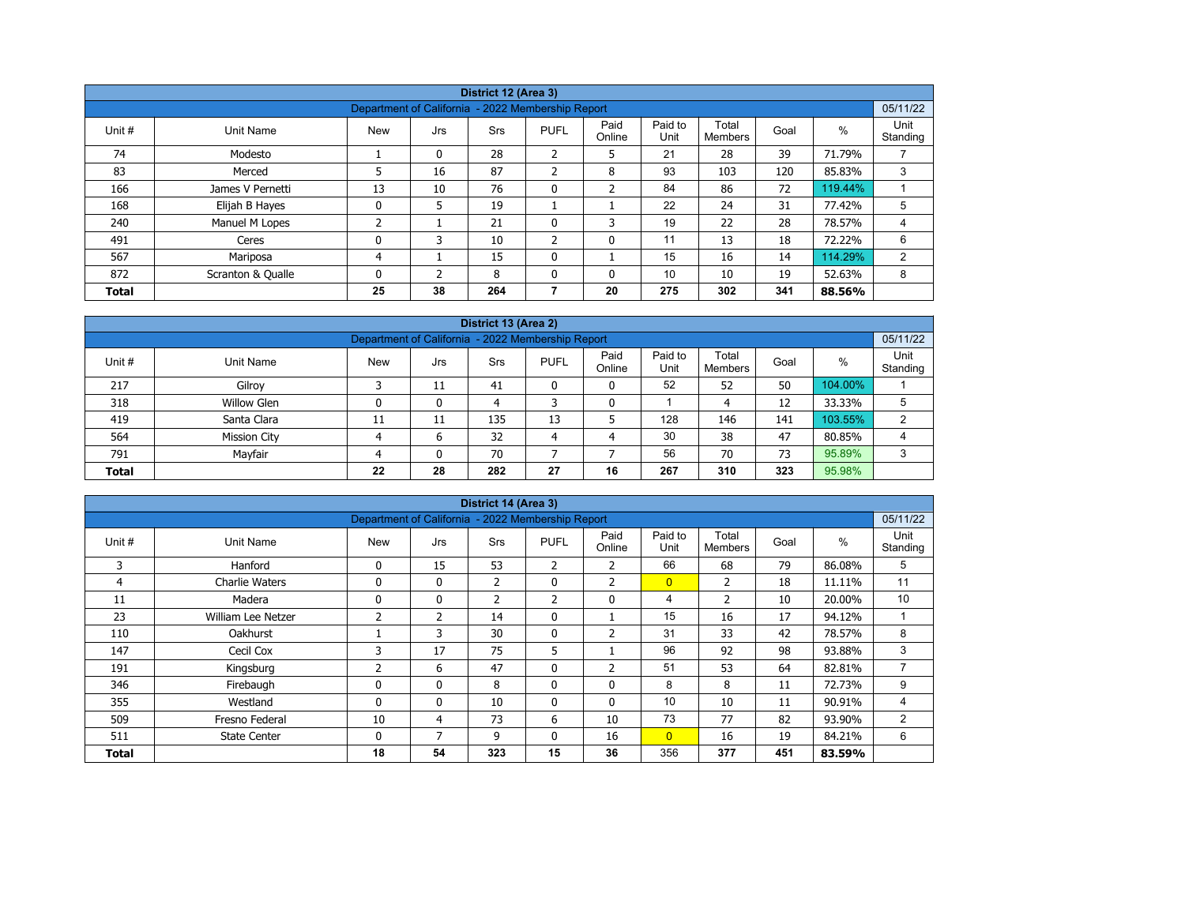| District 12 (Area 3) |                   |                                                   |              |            |                          |                |                 |                  |      |         |                  |  |  |
|----------------------|-------------------|---------------------------------------------------|--------------|------------|--------------------------|----------------|-----------------|------------------|------|---------|------------------|--|--|
|                      |                   |                                                   |              |            |                          |                |                 |                  |      |         |                  |  |  |
|                      |                   | Department of California - 2022 Membership Report |              |            |                          |                |                 |                  |      |         | 05/11/22         |  |  |
| Unit #               | Unit Name         | <b>New</b>                                        | Jrs          | <b>Srs</b> | <b>PUFL</b>              | Paid<br>Online | Paid to<br>Unit | Total<br>Members | Goal | %       | Unit<br>Standing |  |  |
| 74                   | Modesto           |                                                   | 0            | 28         | 2                        | 5              | 21              | 28               | 39   | 71.79%  |                  |  |  |
| 83                   | Merced            | 5                                                 | 16           | 87         | $\overline{\phantom{a}}$ | 8              | 93              | 103              | 120  | 85.83%  | 3                |  |  |
| 166                  | James V Pernetti  | 13                                                | 10           | 76         | $\mathbf{0}$             | $\overline{2}$ | 84              | 86               | 72   | 119.44% |                  |  |  |
| 168                  | Elijah B Hayes    | 0                                                 | 5            | 19         |                          |                | 22              | 24               | 31   | 77.42%  | 5                |  |  |
| 240                  | Manuel M Lopes    | ำ<br>∠                                            |              | 21         | $\mathbf 0$              | 3              | 19              | 22               | 28   | 78.57%  | 4                |  |  |
| 491                  | Ceres             | 0                                                 | 3            | 10         | $\overline{2}$           | $\mathbf{0}$   | 11              | 13               | 18   | 72.22%  | 6                |  |  |
| 567                  | Mariposa          | 4                                                 |              | 15         | $\mathbf{0}$             |                | 15              | 16               | 14   | 114.29% | 2                |  |  |
| 872                  | Scranton & Qualle | 0                                                 | <sup>-</sup> | 8          | $\Omega$                 | 0              | 10              | 10               | 19   | 52.63%  | 8                |  |  |
| <b>Total</b>         |                   | 25                                                | 38           | 264        |                          | 20             | 275             | 302              | 341  | 88.56%  |                  |  |  |

| District 13 (Area 2)                                                                                                                   |                                                               |    |              |     |    |    |     |     |     |         |   |  |  |  |  |
|----------------------------------------------------------------------------------------------------------------------------------------|---------------------------------------------------------------|----|--------------|-----|----|----|-----|-----|-----|---------|---|--|--|--|--|
|                                                                                                                                        | 05/11/22<br>Department of California - 2022 Membership Report |    |              |     |    |    |     |     |     |         |   |  |  |  |  |
| Paid to<br>Paid<br>Total<br>$\%$<br>Unit#<br><b>New</b><br><b>PUFL</b><br>Unit Name<br>Goal<br>Srs<br>Jrs<br>Online<br>Unit<br>Members |                                                               |    |              |     |    |    |     |     |     |         |   |  |  |  |  |
| 217                                                                                                                                    | Gilroy                                                        |    | 11           | 41  |    | 0  | 52  | 52  | 50  | 104.00% |   |  |  |  |  |
| 318                                                                                                                                    | <b>Willow Glen</b>                                            |    | 0            | 4   |    | 0  |     | 4   | 12  | 33.33%  | 5 |  |  |  |  |
| 419                                                                                                                                    | Santa Clara                                                   | 11 | 11           | 135 | 13 |    | 128 | 146 | 141 | 103.55% | C |  |  |  |  |
| 564                                                                                                                                    | <b>Mission City</b>                                           |    | 6            | 32  | 4  | 4  | 30  | 38  | 47  | 80.85%  | 4 |  |  |  |  |
| 791                                                                                                                                    | Mayfair                                                       |    | $\mathbf{0}$ | 70  |    |    | 56  | 70  | 73  | 95.89%  | 3 |  |  |  |  |
| <b>Total</b>                                                                                                                           |                                                               | 22 | 28           | 282 | 27 | 16 | 267 | 310 | 323 | 95.98%  |   |  |  |  |  |

| District 14 (Area 3) |                       |                                                   |              |                |              |                |                 |                         |      |        |                  |  |  |
|----------------------|-----------------------|---------------------------------------------------|--------------|----------------|--------------|----------------|-----------------|-------------------------|------|--------|------------------|--|--|
|                      |                       | Department of California - 2022 Membership Report |              |                |              |                |                 |                         |      |        | 05/11/22         |  |  |
| Unit #               | Unit Name             | <b>New</b>                                        | Jrs          | Srs            | <b>PUFL</b>  | Paid<br>Online | Paid to<br>Unit | Total<br><b>Members</b> | Goal | %      | Unit<br>Standing |  |  |
| 3                    | Hanford               | 0                                                 | 15           | 53             | 2            | 2              | 66              | 68                      | 79   | 86.08% | 5                |  |  |
| 4                    | <b>Charlie Waters</b> | 0                                                 | $\mathbf{0}$ | $\overline{2}$ | $\mathbf{0}$ | $\overline{2}$ | $\overline{0}$  | 2                       | 18   | 11.11% | 11               |  |  |
| 11                   | Madera                | 0                                                 | 0            | $\overline{2}$ | 2            | 0              | 4               | $\overline{2}$          | 10   | 20.00% | 10               |  |  |
| 23                   | William Lee Netzer    | 2                                                 | 2            | 14             | $\mathbf{0}$ |                | 15              | 16                      | 17   | 94.12% |                  |  |  |
| 110                  | <b>Oakhurst</b>       |                                                   | 3            | 30             | 0            | $\overline{2}$ | 31              | 33                      | 42   | 78.57% | 8                |  |  |
| 147                  | Cecil Cox             | 3                                                 | 17           | 75             | 5            |                | 96              | 92                      | 98   | 93.88% | 3                |  |  |
| 191                  | Kingsburg             | 2                                                 | 6            | 47             | $\mathbf{0}$ | $\overline{2}$ | 51              | 53                      | 64   | 82.81% | 7                |  |  |
| 346                  | Firebaugh             | 0                                                 | $\mathbf{0}$ | 8              | 0            | 0              | 8               | 8                       | 11   | 72.73% | 9                |  |  |
| 355                  | Westland              | $\mathbf{0}$                                      | $\mathbf{0}$ | 10             | $\mathbf{0}$ | $\mathbf{0}$   | 10              | 10                      | 11   | 90.91% | 4                |  |  |
| 509                  | Fresno Federal        | 10                                                | 4            | 73             | 6            | 10             | 73              | 77                      | 82   | 93.90% | 2                |  |  |
| 511                  | <b>State Center</b>   | 0                                                 | 7            | 9              | $\mathbf{0}$ | 16             | $\overline{0}$  | 16                      | 19   | 84.21% | 6                |  |  |
| Total                |                       | 18                                                | 54           | 323            | 15           | 36             | 356             | 377                     | 451  | 83.59% |                  |  |  |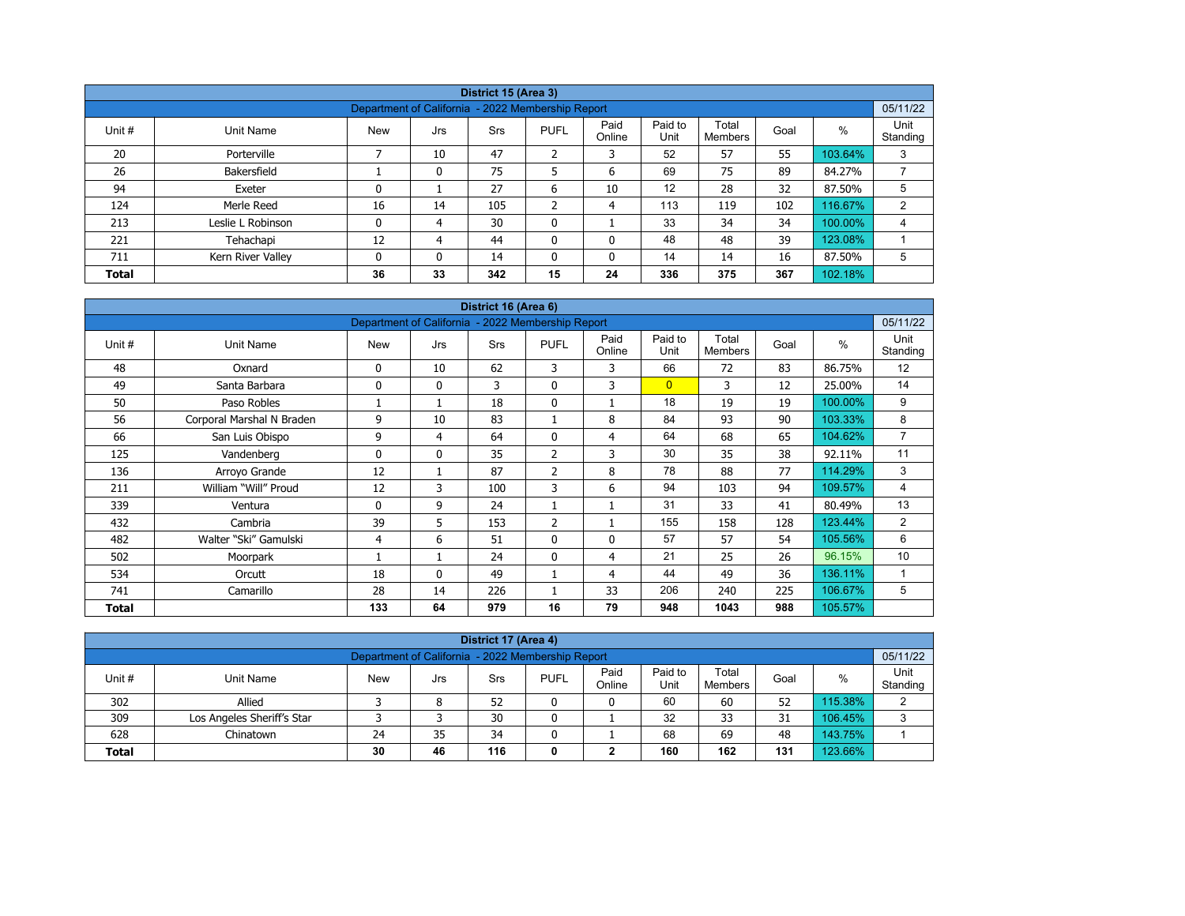|              |                                                                                                                                                |                                                   |          | District 15 (Area 3) |                |    |     |     |     |         |                |  |  |  |  |
|--------------|------------------------------------------------------------------------------------------------------------------------------------------------|---------------------------------------------------|----------|----------------------|----------------|----|-----|-----|-----|---------|----------------|--|--|--|--|
|              |                                                                                                                                                | Department of California - 2022 Membership Report |          |                      |                |    |     |     |     |         | 05/11/22       |  |  |  |  |
| Unit #       | Paid to<br>Paid<br>Total<br>Unit<br>%<br><b>PUFL</b><br>Goal<br>Unit Name<br><b>New</b><br>Srs<br>Jrs<br>Unit<br>Online<br>Standing<br>Members |                                                   |          |                      |                |    |     |     |     |         |                |  |  |  |  |
| 20           | Porterville                                                                                                                                    |                                                   | 10       | 47                   | $\overline{2}$ | 3  | 52  | 57  | 55  | 103.64% | 3              |  |  |  |  |
| 26           | Bakersfield                                                                                                                                    |                                                   | 0        | 75                   | 5              | 6  | 69  | 75  | 89  | 84.27%  | ⇁              |  |  |  |  |
| 94           | Exeter                                                                                                                                         | 0                                                 |          | 27                   | 6              | 10 | 12  | 28  | 32  | 87.50%  | 5              |  |  |  |  |
| 124          | Merle Reed                                                                                                                                     | 16                                                | 14       | 105                  | C<br>∠         | 4  | 113 | 119 | 102 | 116.67% | $\overline{2}$ |  |  |  |  |
| 213          | Leslie L Robinson                                                                                                                              | 0                                                 | 4        | 30                   | 0              |    | 33  | 34  | 34  | 100.00% | 4              |  |  |  |  |
| 221          | Tehachapi                                                                                                                                      | 12                                                | 4        | 44                   | 0              | 0  | 48  | 48  | 39  | 123.08% |                |  |  |  |  |
| 711          | Kern River Valley                                                                                                                              | 0                                                 | $\Omega$ | 14                   | $\mathbf{0}$   | 0  | 14  | 14  | 16  | 87.50%  | 5              |  |  |  |  |
| <b>Total</b> |                                                                                                                                                | 36                                                | 33       | 342                  | 15             | 24 | 336 | 375 | 367 | 102.18% |                |  |  |  |  |

| District 16 (Area 6) |                           |                                                   |              |            |                |                |                 |                         |      |         |                  |  |  |
|----------------------|---------------------------|---------------------------------------------------|--------------|------------|----------------|----------------|-----------------|-------------------------|------|---------|------------------|--|--|
|                      |                           | Department of California - 2022 Membership Report |              |            |                |                |                 |                         |      |         | 05/11/22         |  |  |
| Unit #               | <b>Unit Name</b>          | <b>New</b>                                        | Jrs          | <b>Srs</b> | <b>PUFL</b>    | Paid<br>Online | Paid to<br>Unit | Total<br><b>Members</b> | Goal | %       | Unit<br>Standing |  |  |
| 48                   | Oxnard                    | 0                                                 | 10           | 62         | 3              | 3              | 66              | 72                      | 83   | 86.75%  | 12               |  |  |
| 49                   | Santa Barbara             | $\Omega$                                          | $\mathbf{0}$ | 3          | $\mathbf{0}$   | 3              | $\overline{0}$  | 3                       | 12   | 25.00%  | 14               |  |  |
| 50                   | Paso Robles               |                                                   |              | 18         | 0              | 1              | 18              | 19                      | 19   | 100.00% | 9                |  |  |
| 56                   | Corporal Marshal N Braden | 9                                                 | 10           | 83         | 1              | 8              | 84              | 93                      | 90   | 103.33% | 8                |  |  |
| 66                   | San Luis Obispo           | 9                                                 | 4            | 64         | $\mathbf{0}$   | $\overline{4}$ | 64              | 68                      | 65   | 104.62% | $\overline{7}$   |  |  |
| 125                  | Vandenberg                | $\Omega$                                          | $\mathbf{0}$ | 35         | 2              | 3              | 30              | 35                      | 38   | 92.11%  | 11               |  |  |
| 136                  | Arroyo Grande             | 12                                                | 1            | 87         | $\overline{2}$ | 8              | 78              | 88                      | 77   | 114.29% | 3                |  |  |
| 211                  | William "Will" Proud      | 12                                                | 3            | 100        | 3              | 6              | 94              | 103                     | 94   | 109.57% | 4                |  |  |
| 339                  | Ventura                   | 0                                                 | 9            | 24         |                | 1              | 31              | 33                      | 41   | 80.49%  | 13               |  |  |
| 432                  | Cambria                   | 39                                                | 5            | 153        | $\overline{2}$ | 1              | 155             | 158                     | 128  | 123.44% | 2                |  |  |
| 482                  | Walter "Ski" Gamulski     | 4                                                 | 6            | 51         | $\mathbf{0}$   | $\mathbf{0}$   | 57              | 57                      | 54   | 105.56% | 6                |  |  |
| 502                  | Moorpark                  |                                                   |              | 24         | $\mathbf{0}$   | 4              | 21              | 25                      | 26   | 96.15%  | 10               |  |  |
| 534                  | Orcutt                    | 18                                                | $\mathbf{0}$ | 49         |                | 4              | 44              | 49                      | 36   | 136.11% | 1                |  |  |
| 741                  | Camarillo                 | 28                                                | 14           | 226        |                | 33             | 206             | 240                     | 225  | 106.67% | 5                |  |  |
| <b>Total</b>         |                           | 133                                               | 64           | 979        | 16             | 79             | 948             | 1043                    | 988  | 105.57% |                  |  |  |

| District 17 (Area 4)                                                                                                                             |                                                               |    |    |    |  |   |    |    |    |         |   |  |  |  |  |
|--------------------------------------------------------------------------------------------------------------------------------------------------|---------------------------------------------------------------|----|----|----|--|---|----|----|----|---------|---|--|--|--|--|
|                                                                                                                                                  | 05/11/22<br>Department of California - 2022 Membership Report |    |    |    |  |   |    |    |    |         |   |  |  |  |  |
| Paid to<br>Paid<br>Total<br><b>PUFL</b><br>Unit #<br><b>New</b><br>%<br>Goal<br>Unit Name<br>Srs<br>Jrs<br>Unit<br>Standing<br>Online<br>Members |                                                               |    |    |    |  |   |    |    |    |         |   |  |  |  |  |
| 302                                                                                                                                              | Allied                                                        |    | 8  | 52 |  | 0 | 60 | 60 | 52 | 115.38% | ົ |  |  |  |  |
| 309                                                                                                                                              | Los Angeles Sheriff's Star                                    |    |    | 30 |  |   | 32 | 33 | 31 | 106.45% | 3 |  |  |  |  |
| 628                                                                                                                                              | Chinatown                                                     | 24 | 35 | 34 |  |   | 68 | 69 | 48 | 143.75% |   |  |  |  |  |
| 160<br>123.66%<br>116<br>162<br>30<br>131<br>46<br><b>Total</b><br>◠<br>0<br>∠                                                                   |                                                               |    |    |    |  |   |    |    |    |         |   |  |  |  |  |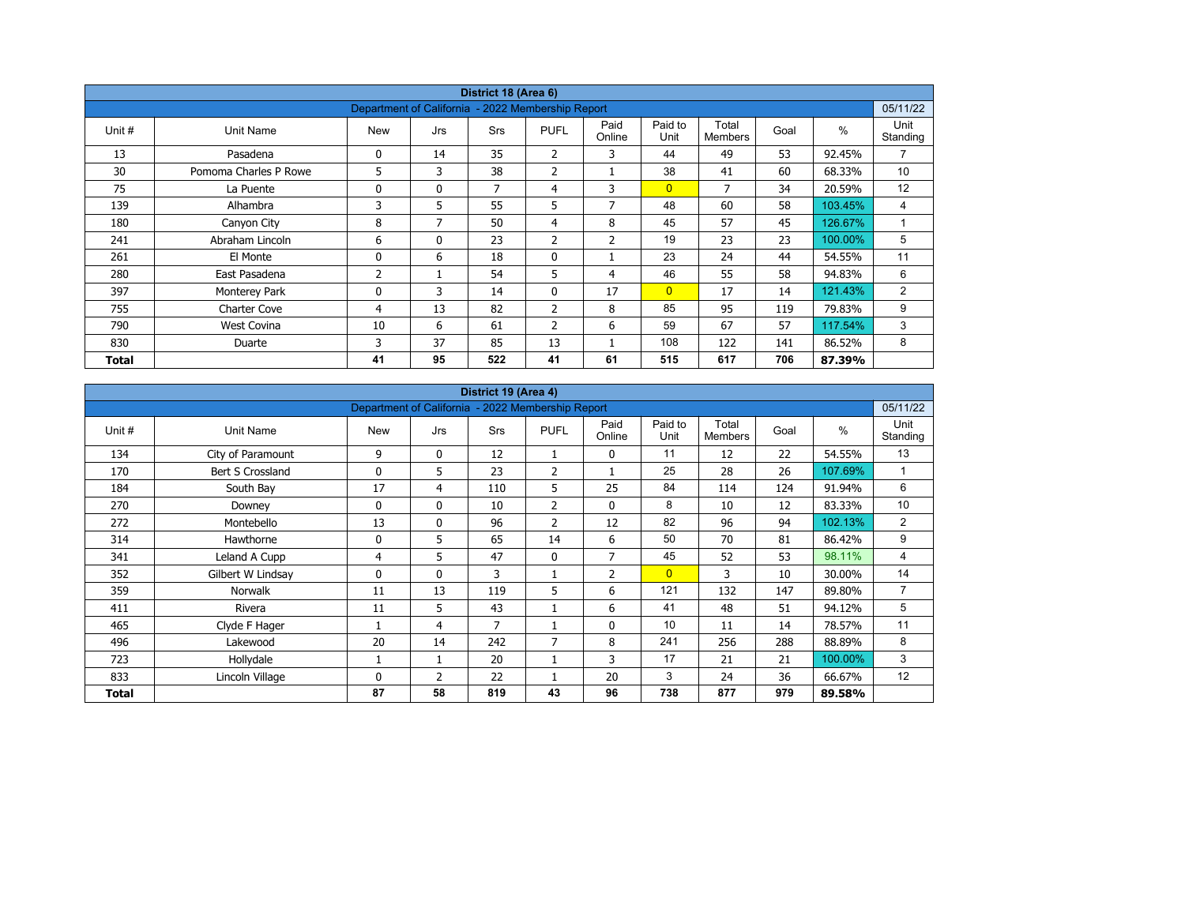| District 18 (Area 6) |                       |                                                   |              |            |                |                |                 |                         |      |         |                  |  |  |
|----------------------|-----------------------|---------------------------------------------------|--------------|------------|----------------|----------------|-----------------|-------------------------|------|---------|------------------|--|--|
|                      |                       | Department of California - 2022 Membership Report |              |            |                |                |                 |                         |      |         | 05/11/22         |  |  |
| Unit #               | Unit Name             | <b>New</b>                                        | Jrs          | <b>Srs</b> | <b>PUFL</b>    | Paid<br>Online | Paid to<br>Unit | Total<br><b>Members</b> | Goal | $\%$    | Unit<br>Standing |  |  |
| 13                   | Pasadena              | 0                                                 | 14           | 35         | $\overline{2}$ | 3              | 44              | 49                      | 53   | 92.45%  | $\overline{7}$   |  |  |
| 30                   | Pomoma Charles P Rowe | 5                                                 | 3            | 38         | $\overline{2}$ |                | 38              | 41                      | 60   | 68.33%  | 10 <sup>°</sup>  |  |  |
| 75                   | La Puente             | 0                                                 | $\mathbf{0}$ | 7          | 4              | 3              | $\overline{0}$  | 7                       | 34   | 20.59%  | 12               |  |  |
| 139                  | Alhambra              | 3                                                 | 5            | 55         | 5              | 7              | 48              | 60                      | 58   | 103.45% | 4                |  |  |
| 180                  | Canyon City           | 8                                                 | 7            | 50         | $\overline{4}$ | 8              | 45              | 57                      | 45   | 126.67% | $\overline{A}$   |  |  |
| 241                  | Abraham Lincoln       | 6                                                 | $\mathbf{0}$ | 23         | $\overline{2}$ | $\overline{2}$ | 19              | 23                      | 23   | 100.00% | 5                |  |  |
| 261                  | El Monte              | 0                                                 | 6            | 18         | $\mathbf 0$    |                | 23              | 24                      | 44   | 54.55%  | 11               |  |  |
| 280                  | East Pasadena         | $\overline{2}$                                    |              | 54         | 5              | 4              | 46              | 55                      | 58   | 94.83%  | 6                |  |  |
| 397                  | Monterey Park         | 0                                                 | 3            | 14         | $\mathbf{0}$   | 17             | $\overline{0}$  | 17                      | 14   | 121.43% | $\overline{2}$   |  |  |
| 755                  | <b>Charter Cove</b>   | 4                                                 | 13           | 82         | $\overline{2}$ | 8              | 85              | 95                      | 119  | 79.83%  | 9                |  |  |
| 790                  | <b>West Covina</b>    | 10                                                | 6            | 61         | $\overline{2}$ | 6              | 59              | 67                      | 57   | 117.54% | 3                |  |  |
| 830                  | Duarte                | 3                                                 | 37           | 85         | 13             |                | 108             | 122                     | 141  | 86.52%  | 8                |  |  |
| Total                |                       | 41                                                | 95           | 522        | 41             | 61             | 515             | 617                     | 706  | 87.39%  |                  |  |  |

| District 19 (Area 4)<br>Department of California - 2022 Membership Report |                   |            |              |     |                |                |                 |                         |      |               |                  |  |  |
|---------------------------------------------------------------------------|-------------------|------------|--------------|-----|----------------|----------------|-----------------|-------------------------|------|---------------|------------------|--|--|
|                                                                           |                   |            |              |     |                |                |                 |                         |      |               | 05/11/22         |  |  |
| Unit #                                                                    | Unit Name         | <b>New</b> | Jrs          | Srs | <b>PUFL</b>    | Paid<br>Online | Paid to<br>Unit | Total<br><b>Members</b> | Goal | $\frac{0}{0}$ | Unit<br>Standing |  |  |
| 134                                                                       | City of Paramount | 9          | $\mathbf 0$  | 12  | 1              | 0              | 11              | 12                      | 22   | 54.55%        | 13               |  |  |
| 170                                                                       | Bert S Crossland  | 0          | 5            | 23  | $\overline{2}$ |                | 25              | 28                      | 26   | 107.69%       | $\mathbf{1}$     |  |  |
| 184                                                                       | South Bay         | 17         | 4            | 110 | 5              | 25             | 84              | 114                     | 124  | 91.94%        | 6                |  |  |
| 270                                                                       | Downey            | 0          | $\mathbf{0}$ | 10  | $\overline{2}$ | 0              | 8               | 10                      | 12   | 83.33%        | 10               |  |  |
| 272                                                                       | Montebello        | 13         | $\mathbf{0}$ | 96  | $\overline{2}$ | 12             | 82              | 96                      | 94   | 102.13%       | 2                |  |  |
| 314                                                                       | Hawthorne         | 0          | 5            | 65  | 14             | 6              | 50              | 70                      | 81   | 86.42%        | 9                |  |  |
| 341                                                                       | Leland A Cupp     | 4          | 5            | 47  | $\mathbf{0}$   | $\overline{7}$ | 45              | 52                      | 53   | 98.11%        | 4                |  |  |
| 352                                                                       | Gilbert W Lindsay | 0          | $\mathbf{0}$ | 3   |                | $\overline{2}$ | $\overline{0}$  | 3                       | 10   | 30.00%        | 14               |  |  |
| 359                                                                       | <b>Norwalk</b>    | 11         | 13           | 119 | 5              | 6              | 121             | 132                     | 147  | 89.80%        | $\overline{7}$   |  |  |
| 411                                                                       | Rivera            | 11         | 5            | 43  |                | 6              | 41              | 48                      | 51   | 94.12%        | 5                |  |  |
| 465                                                                       | Clyde F Hager     |            | 4            | 7   |                | $\mathbf 0$    | 10              | 11                      | 14   | 78.57%        | 11               |  |  |
| 496                                                                       | Lakewood          | 20         | 14           | 242 | 7              | 8              | 241             | 256                     | 288  | 88.89%        | 8                |  |  |
| 723                                                                       | Hollydale         |            | 1            | 20  |                | 3              | 17              | 21                      | 21   | 100.00%       | 3                |  |  |
| 833                                                                       | Lincoln Village   | 0          | 2            | 22  |                | 20             | 3               | 24                      | 36   | 66.67%        | 12               |  |  |
| Total                                                                     |                   | 87         | 58           | 819 | 43             | 96             | 738             | 877                     | 979  | 89.58%        |                  |  |  |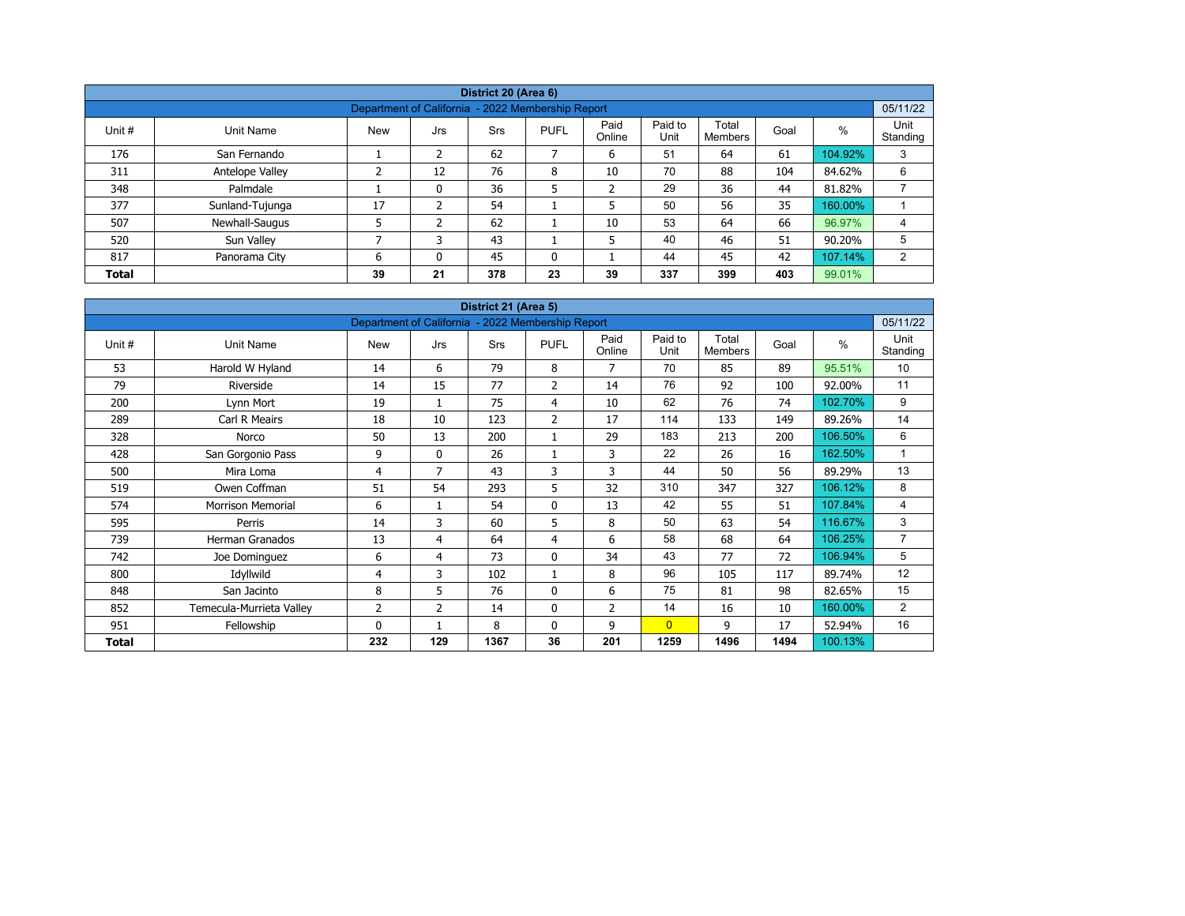| District 20 (Area 6)                                                       |                                                               |            |     |            |              |                |                 |                  |      |         |                  |  |  |  |  |
|----------------------------------------------------------------------------|---------------------------------------------------------------|------------|-----|------------|--------------|----------------|-----------------|------------------|------|---------|------------------|--|--|--|--|
|                                                                            | 05/11/22<br>Department of California - 2022 Membership Report |            |     |            |              |                |                 |                  |      |         |                  |  |  |  |  |
| Unit #                                                                     | Unit Name                                                     | <b>New</b> | Jrs | <b>Srs</b> | <b>PUFL</b>  | Paid<br>Online | Paid to<br>Unit | Total<br>Members | Goal | %       | Unit<br>Standing |  |  |  |  |
| 176                                                                        | San Fernando                                                  |            | 2   | 62         | 7            | 6              | 51              | 64               | 61   | 104.92% | 3                |  |  |  |  |
| 311                                                                        | Antelope Valley                                               | ∍          | 12  | 76         | 8            | 10             | 70              | 88               | 104  | 84.62%  | 6                |  |  |  |  |
| 348                                                                        | Palmdale                                                      |            | 0   | 36         | 5            | $\overline{2}$ | 29              | 36               | 44   | 81.82%  |                  |  |  |  |  |
| 377                                                                        | Sunland-Tujunga                                               | 17         | ຳ   | 54         |              | 5              | 50              | 56               | 35   | 160.00% |                  |  |  |  |  |
| 507                                                                        | Newhall-Saugus                                                |            | 2   | 62         |              | 10             | 53              | 64               | 66   | 96.97%  | 4                |  |  |  |  |
| 520                                                                        | Sun Valley                                                    | ⇁          |     | 43         |              | 5              | 40              | 46               | 51   | 90.20%  | 5                |  |  |  |  |
| 817                                                                        | Panorama City                                                 | 6          | 0   | 45         | $\mathbf{0}$ |                | 44              | 45               | 42   | 107.14% | 2                |  |  |  |  |
| 23<br>337<br>399<br>403<br>99.01%<br>39<br>21<br>378<br>39<br><b>Total</b> |                                                               |            |     |            |              |                |                 |                  |      |         |                  |  |  |  |  |

| District 21 (Area 5) |                          |                                                   |              |            |                |                |                 |                         |      |               |                  |  |  |
|----------------------|--------------------------|---------------------------------------------------|--------------|------------|----------------|----------------|-----------------|-------------------------|------|---------------|------------------|--|--|
|                      |                          | Department of California - 2022 Membership Report |              |            |                |                |                 |                         |      |               | 05/11/22         |  |  |
| Unit #               | <b>Unit Name</b>         | <b>New</b>                                        | Jrs          | <b>Srs</b> | <b>PUFL</b>    | Paid<br>Online | Paid to<br>Unit | Total<br><b>Members</b> | Goal | $\frac{0}{0}$ | Unit<br>Standing |  |  |
| 53                   | Harold W Hyland          | 14                                                | 6            | 79         | 8              | 7              | 70              | 85                      | 89   | 95.51%        | 10               |  |  |
| 79                   | Riverside                | 14                                                | 15           | 77         | 2              | 14             | 76              | 92                      | 100  | 92.00%        | 11               |  |  |
| 200                  | Lynn Mort                | 19                                                | $\mathbf{1}$ | 75         | 4              | 10             | 62              | 76                      | 74   | 102.70%       | 9                |  |  |
| 289                  | Carl R Meairs            | 18                                                | 10           | 123        | $\overline{2}$ | 17             | 114             | 133                     | 149  | 89.26%        | 14               |  |  |
| 328                  | Norco                    | 50                                                | 13           | 200        | 1              | 29             | 183             | 213                     | 200  | 106.50%       | 6                |  |  |
| 428                  | San Gorgonio Pass        | 9                                                 | $\mathbf{0}$ | 26         | 1              | 3              | 22              | 26                      | 16   | 162.50%       | 1                |  |  |
| 500                  | Mira Loma                | 4                                                 | 7            | 43         | 3              | 3              | 44              | 50                      | 56   | 89.29%        | 13               |  |  |
| 519                  | Owen Coffman             | 51                                                | 54           | 293        | 5              | 32             | 310             | 347                     | 327  | 106.12%       | 8                |  |  |
| 574                  | <b>Morrison Memorial</b> | 6                                                 | $\mathbf{1}$ | 54         | 0              | 13             | 42              | 55                      | 51   | 107.84%       | 4                |  |  |
| 595                  | Perris                   | 14                                                | 3            | 60         | 5              | 8              | 50              | 63                      | 54   | 116.67%       | 3                |  |  |
| 739                  | <b>Herman Granados</b>   | 13                                                | 4            | 64         | 4              | 6              | 58              | 68                      | 64   | 106.25%       | $\overline{7}$   |  |  |
| 742                  | Joe Dominguez            | 6                                                 | 4            | 73         | $\mathbf 0$    | 34             | 43              | 77                      | 72   | 106.94%       | 5                |  |  |
| 800                  | Idyllwild                | 4                                                 | 3            | 102        | $\mathbf{1}$   | 8              | 96              | 105                     | 117  | 89.74%        | 12               |  |  |
| 848                  | San Jacinto              | 8                                                 | 5            | 76         | $\mathbf 0$    | 6              | 75              | 81                      | 98   | 82.65%        | 15               |  |  |
| 852                  | Temecula-Murrieta Valley | 2                                                 | 2            | 14         | 0              | $\overline{2}$ | 14              | 16                      | 10   | 160.00%       | $\overline{2}$   |  |  |
| 951                  | Fellowship               | $\Omega$                                          |              | 8          | $\mathbf{0}$   | 9              | $\overline{0}$  | 9                       | 17   | 52.94%        | 16               |  |  |
| Total                |                          | 232                                               | 129          | 1367       | 36             | 201            | 1259            | 1496                    | 1494 | 100.13%       |                  |  |  |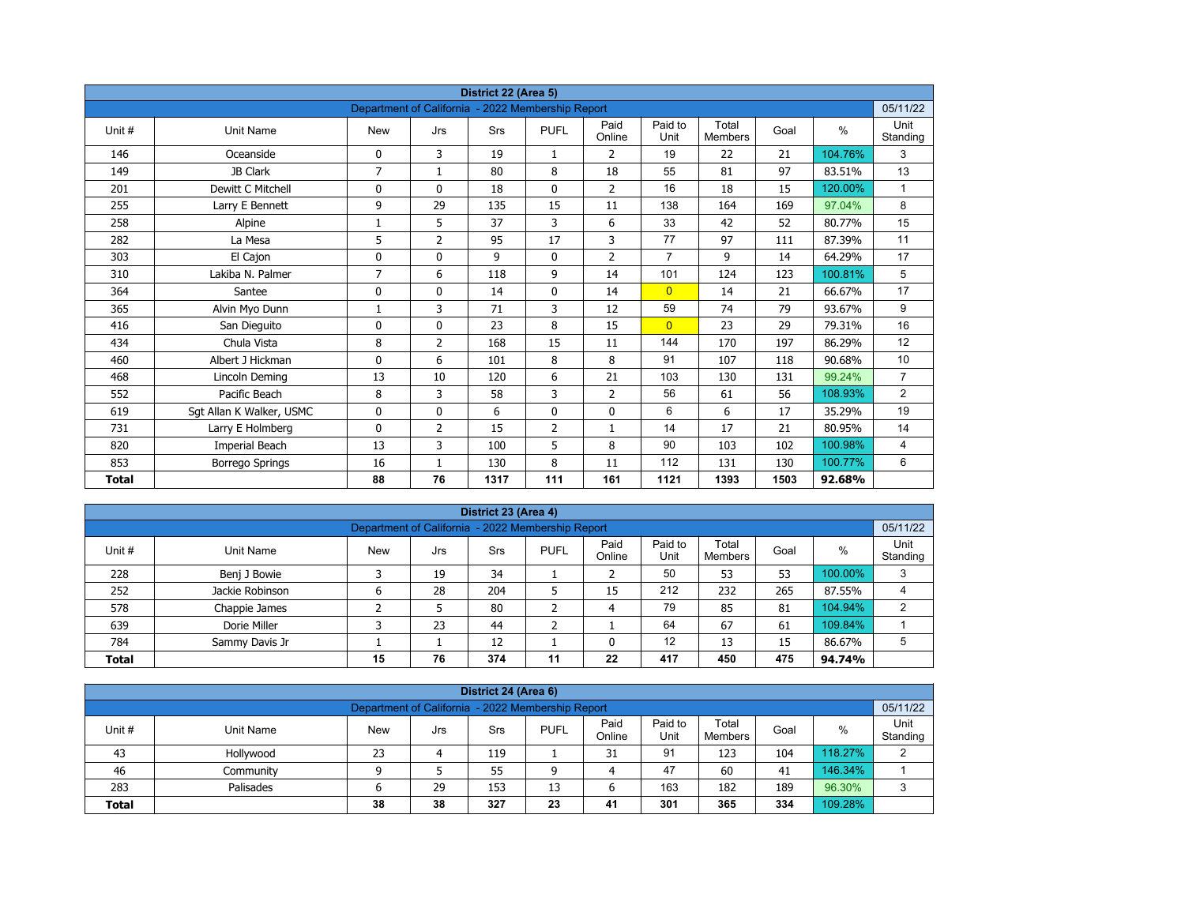| District 22 (Area 5) |                          |                                                   |                |      |                |                |                 |                         |      |         |                  |  |  |
|----------------------|--------------------------|---------------------------------------------------|----------------|------|----------------|----------------|-----------------|-------------------------|------|---------|------------------|--|--|
|                      |                          | Department of California - 2022 Membership Report |                |      |                |                |                 |                         |      |         | 05/11/22         |  |  |
| Unit#                | <b>Unit Name</b>         | <b>New</b>                                        | Jrs            | Srs  | <b>PUFL</b>    | Paid<br>Online | Paid to<br>Unit | Total<br><b>Members</b> | Goal | $\%$    | Unit<br>Standing |  |  |
| 146                  | Oceanside                | 0                                                 | 3              | 19   | $\mathbf{1}$   | 2              | 19              | 22                      | 21   | 104.76% | 3                |  |  |
| 149                  | JB Clark                 | $\overline{7}$                                    | $\mathbf{1}$   | 80   | 8              | 18             | 55              | 81                      | 97   | 83.51%  | 13               |  |  |
| 201                  | Dewitt C Mitchell        | 0                                                 | $\mathbf{0}$   | 18   | $\mathbf{0}$   | $\overline{2}$ | 16              | 18                      | 15   | 120.00% | $\mathbf{1}$     |  |  |
| 255                  | Larry E Bennett          | 9                                                 | 29             | 135  | 15             | 11             | 138             | 164                     | 169  | 97.04%  | 8                |  |  |
| 258                  | Alpine                   | 1                                                 | 5              | 37   | 3              | 6              | 33              | 42                      | 52   | 80.77%  | 15               |  |  |
| 282                  | La Mesa                  | 5                                                 | $\overline{2}$ | 95   | 17             | 3              | 77              | 97                      | 111  | 87.39%  | 11               |  |  |
| 303                  | El Cajon                 | 0                                                 | 0              | 9    | $\mathbf 0$    | $\overline{2}$ | $\overline{7}$  | 9                       | 14   | 64.29%  | 17               |  |  |
| 310                  | Lakiba N. Palmer         | $\overline{7}$                                    | 6              | 118  | 9              | 14             | 101             | 124                     | 123  | 100.81% | 5                |  |  |
| 364                  | Santee                   | 0                                                 | 0              | 14   | $\mathbf 0$    | 14             | $\overline{0}$  | 14                      | 21   | 66.67%  | 17               |  |  |
| 365                  | Alvin Myo Dunn           | 1                                                 | 3              | 71   | 3              | 12             | 59              | 74                      | 79   | 93.67%  | 9                |  |  |
| 416                  | San Dieguito             | 0                                                 | $\mathbf{0}$   | 23   | 8              | 15             | $\overline{0}$  | 23                      | 29   | 79.31%  | 16               |  |  |
| 434                  | Chula Vista              | 8                                                 | $\overline{2}$ | 168  | 15             | 11             | 144             | 170                     | 197  | 86.29%  | 12               |  |  |
| 460                  | Albert J Hickman         | 0                                                 | 6              | 101  | 8              | 8              | 91              | 107                     | 118  | 90.68%  | 10               |  |  |
| 468                  | Lincoln Deming           | 13                                                | 10             | 120  | 6              | 21             | 103             | 130                     | 131  | 99.24%  | $\overline{7}$   |  |  |
| 552                  | Pacific Beach            | 8                                                 | 3              | 58   | 3              | $\overline{2}$ | 56              | 61                      | 56   | 108.93% | $\overline{2}$   |  |  |
| 619                  | Sgt Allan K Walker, USMC | 0                                                 | 0              | 6    | $\mathbf 0$    | 0              | 6               | 6                       | 17   | 35.29%  | 19               |  |  |
| 731                  | Larry E Holmberg         | 0                                                 | 2              | 15   | $\overline{2}$ | $\mathbf{1}$   | 14              | 17                      | 21   | 80.95%  | 14               |  |  |
| 820                  | Imperial Beach           | 13                                                | 3              | 100  | 5              | 8              | 90              | 103                     | 102  | 100.98% | 4                |  |  |
| 853                  | <b>Borrego Springs</b>   | 16                                                | $\mathbf{1}$   | 130  | 8              | 11             | 112             | 131                     | 130  | 100.77% | 6                |  |  |
| <b>Total</b>         |                          | 88                                                | 76             | 1317 | 111            | 161            | 1121            | 1393                    | 1503 | 92.68%  |                  |  |  |

| District 23 (Area 4)                                                                                                                                   |                 |   |    |     |   |    |     |     |     |         |   |  |  |
|--------------------------------------------------------------------------------------------------------------------------------------------------------|-----------------|---|----|-----|---|----|-----|-----|-----|---------|---|--|--|
| Department of California - 2022 Membership Report                                                                                                      |                 |   |    |     |   |    |     |     |     |         |   |  |  |
| Paid<br>Paid to<br>Total<br><b>PUFL</b><br>%<br>Unit#<br>Goal<br>Unit Name<br><b>New</b><br>Srs<br>Jrs<br>Unit<br>Standing<br>Online<br><b>Members</b> |                 |   |    |     |   |    |     |     |     |         |   |  |  |
| 228                                                                                                                                                    | Benj J Bowie    |   | 19 | 34  |   |    | 50  | 53  | 53  | 100.00% | 3 |  |  |
| 252                                                                                                                                                    | Jackie Robinson | 6 | 28 | 204 | ь | 15 | 212 | 232 | 265 | 87.55%  | 4 |  |  |
| 578                                                                                                                                                    | Chappie James   |   |    | 80  | ∽ | 4  | 79  | 85  | 81  | 104.94% | 2 |  |  |
| 639                                                                                                                                                    | Dorie Miller    |   | 23 | 44  | ╮ |    | 64  | 67  | 61  | 109.84% |   |  |  |
| 12<br>12<br>13<br>86.67%<br>784<br>15<br>Sammy Davis Jr                                                                                                |                 |   |    |     |   |    |     |     |     |         |   |  |  |
| 76<br>374<br>475<br>22<br>417<br>450<br>15<br>11<br><b>Total</b><br>94.74%                                                                             |                 |   |    |     |   |    |     |     |     |         |   |  |  |

| District 24 (Area 6)                                                                                                                      |           |    |    |     |    |    |     |     |     |         |   |  |  |
|-------------------------------------------------------------------------------------------------------------------------------------------|-----------|----|----|-----|----|----|-----|-----|-----|---------|---|--|--|
| Department of California - 2022 Membership Report<br>05/11/22                                                                             |           |    |    |     |    |    |     |     |     |         |   |  |  |
| Paid<br>Paid to<br>Total<br><b>PUFL</b><br>%<br>Unit #<br>Goal<br>Unit Name<br>Srs<br>New<br>Jrs<br>Unit<br>Standing<br>Online<br>Members |           |    |    |     |    |    |     |     |     |         |   |  |  |
| 43                                                                                                                                        | Hollywood | 23 |    | 119 |    | 31 | 91  | 123 | 104 | 118.27% | C |  |  |
| 46                                                                                                                                        | Community |    |    | 55  | a  | 4  | 47  | 60  | 41  | 146.34% |   |  |  |
| 283                                                                                                                                       | Palisades | ס  | 29 | 153 | 13 |    | 163 | 182 | 189 | 96.30%  | 2 |  |  |
| 38<br>327<br>301<br>109.28%<br>365<br>334<br>38<br>23<br>41<br><b>Total</b>                                                               |           |    |    |     |    |    |     |     |     |         |   |  |  |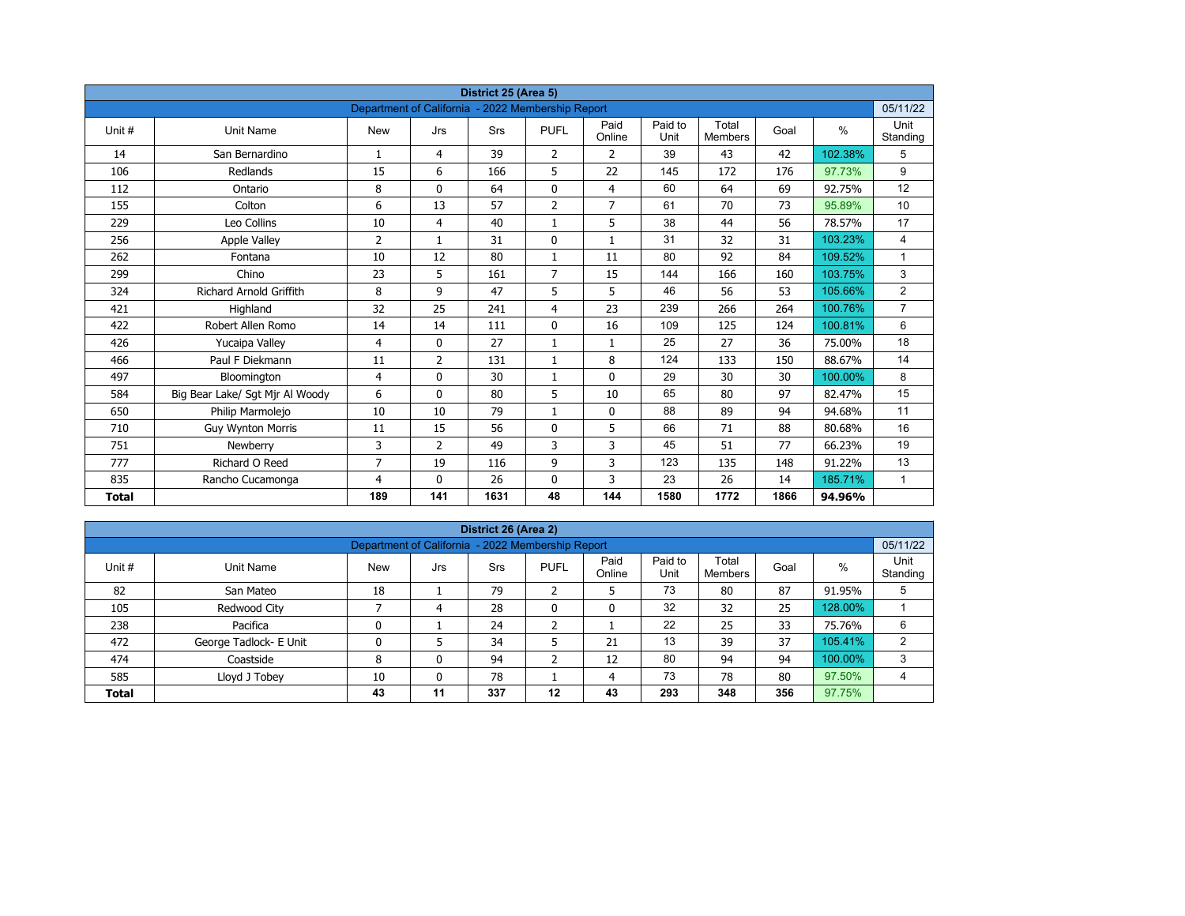| District 25 (Area 5)<br>Department of California - 2022 Membership Report |                                 |              |                |            |                |                |                 |                         |      |         |                  |  |  |
|---------------------------------------------------------------------------|---------------------------------|--------------|----------------|------------|----------------|----------------|-----------------|-------------------------|------|---------|------------------|--|--|
|                                                                           |                                 |              |                |            |                |                |                 |                         |      |         | 05/11/22         |  |  |
| Unit #                                                                    | <b>Unit Name</b>                | <b>New</b>   | Jrs            | <b>Srs</b> | <b>PUFL</b>    | Paid<br>Online | Paid to<br>Unit | Total<br><b>Members</b> | Goal | $\%$    | Unit<br>Standing |  |  |
| 14                                                                        | San Bernardino                  | $\mathbf{1}$ | 4              | 39         | $\overline{2}$ | $\overline{2}$ | 39              | 43                      | 42   | 102.38% | 5                |  |  |
| 106                                                                       | Redlands                        | 15           | 6              | 166        | 5              | 22             | 145             | 172                     | 176  | 97.73%  | 9                |  |  |
| 112                                                                       | Ontario                         | 8            | $\Omega$       | 64         | $\mathbf{0}$   | $\overline{4}$ | 60              | 64                      | 69   | 92.75%  | 12               |  |  |
| 155                                                                       | Colton                          | 6            | 13             | 57         | $\overline{2}$ | $\overline{7}$ | 61              | 70                      | 73   | 95.89%  | 10               |  |  |
| 229                                                                       | Leo Collins                     | 10           | 4              | 40         | $\mathbf{1}$   | 5              | 38              | 44                      | 56   | 78.57%  | 17               |  |  |
| 256                                                                       | <b>Apple Valley</b>             | 2            | $\mathbf{1}$   | 31         | $\mathbf{0}$   | $\mathbf{1}$   | 31              | 32                      | 31   | 103.23% | $\overline{4}$   |  |  |
| 262                                                                       | Fontana                         | 10           | 12             | 80         | $\mathbf{1}$   | 11             | 80              | 92                      | 84   | 109.52% | $\mathbf{1}$     |  |  |
| 299                                                                       | Chino                           | 23           | 5              | 161        | $\overline{7}$ | 15             | 144             | 166                     | 160  | 103.75% | 3                |  |  |
| 324                                                                       | <b>Richard Arnold Griffith</b>  | 8            | 9              | 47         | 5              | 5              | 46              | 56                      | 53   | 105.66% | $\overline{2}$   |  |  |
| 421                                                                       | Highland                        | 32           | 25             | 241        | 4              | 23             | 239             | 266                     | 264  | 100.76% | $\overline{7}$   |  |  |
| 422                                                                       | Robert Allen Romo               | 14           | 14             | 111        | $\mathbf{0}$   | 16             | 109             | 125                     | 124  | 100.81% | 6                |  |  |
| 426                                                                       | Yucaipa Valley                  | 4            | $\Omega$       | 27         | $\mathbf{1}$   | $\mathbf{1}$   | 25              | 27                      | 36   | 75.00%  | 18               |  |  |
| 466                                                                       | Paul F Diekmann                 | 11           | $\overline{2}$ | 131        | $\mathbf{1}$   | 8              | 124             | 133                     | 150  | 88.67%  | 14               |  |  |
| 497                                                                       | Bloomington                     | 4            | 0              | 30         | $\mathbf{1}$   | $\mathbf 0$    | 29              | 30                      | 30   | 100.00% | 8                |  |  |
| 584                                                                       | Big Bear Lake/ Sgt Mjr Al Woody | 6            | $\mathbf{0}$   | 80         | 5              | 10             | 65              | 80                      | 97   | 82.47%  | 15               |  |  |
| 650                                                                       | Philip Marmolejo                | 10           | 10             | 79         | $\mathbf{1}$   | 0              | 88              | 89                      | 94   | 94.68%  | 11               |  |  |
| 710                                                                       | <b>Guy Wynton Morris</b>        | 11           | 15             | 56         | $\mathbf{0}$   | 5              | 66              | 71                      | 88   | 80.68%  | 16               |  |  |
| 751                                                                       | Newberry                        | 3            | $\overline{2}$ | 49         | 3              | 3              | 45              | 51                      | 77   | 66.23%  | 19               |  |  |
| 777                                                                       | Richard O Reed                  | 7            | 19             | 116        | 9              | 3              | 123             | 135                     | 148  | 91.22%  | 13               |  |  |
| 835                                                                       | Rancho Cucamonga                | 4            | $\mathbf{0}$   | 26         | $\mathbf 0$    | 3              | 23              | 26                      | 14   | 185.71% | $\mathbf{1}$     |  |  |
| <b>Total</b>                                                              |                                 | 189          | 141            | 1631       | 48             | 144            | 1580            | 1772                    | 1866 | 94.96%  |                  |  |  |

| District 26 (Area 2)                                                        |                                                               |            |     |     |              |                |                 |                         |      |         |                  |  |  |  |  |
|-----------------------------------------------------------------------------|---------------------------------------------------------------|------------|-----|-----|--------------|----------------|-----------------|-------------------------|------|---------|------------------|--|--|--|--|
|                                                                             | 05/11/22<br>Department of California - 2022 Membership Report |            |     |     |              |                |                 |                         |      |         |                  |  |  |  |  |
| Unit#                                                                       | Unit Name                                                     | <b>New</b> | Jrs | Srs | <b>PUFL</b>  | Paid<br>Online | Paid to<br>Unit | Total<br><b>Members</b> | Goal | %       | Unit<br>Standing |  |  |  |  |
| 82                                                                          | San Mateo                                                     | 18         |     | 79  | h<br>∠       | 5              | 73              | 80                      | 87   | 91.95%  | 5                |  |  |  |  |
| 105                                                                         | Redwood City                                                  |            | 4   | 28  | $\mathbf{0}$ | 0              | 32              | 32                      | 25   | 128.00% |                  |  |  |  |  |
| 238                                                                         | Pacifica                                                      |            |     | 24  | h            |                | 22              | 25                      | 33   | 75.76%  | 6                |  |  |  |  |
| 472                                                                         | George Tadlock- E Unit                                        | 0          |     | 34  |              | 21             | 13              | 39                      | 37   | 105.41% | 2                |  |  |  |  |
| 474                                                                         | Coastside                                                     | 8          | 0   | 94  | ົ<br>∠       | 12             | 80              | 94                      | 94   | 100.00% | 3                |  |  |  |  |
| 73<br>97.50%<br>585<br>78<br>78<br>80<br>Lloyd J Tobey<br>10<br>4<br>0<br>4 |                                                               |            |     |     |              |                |                 |                         |      |         |                  |  |  |  |  |
| 356<br>337<br>293<br>43<br>11<br>12<br>43<br>348<br>97.75%<br><b>Total</b>  |                                                               |            |     |     |              |                |                 |                         |      |         |                  |  |  |  |  |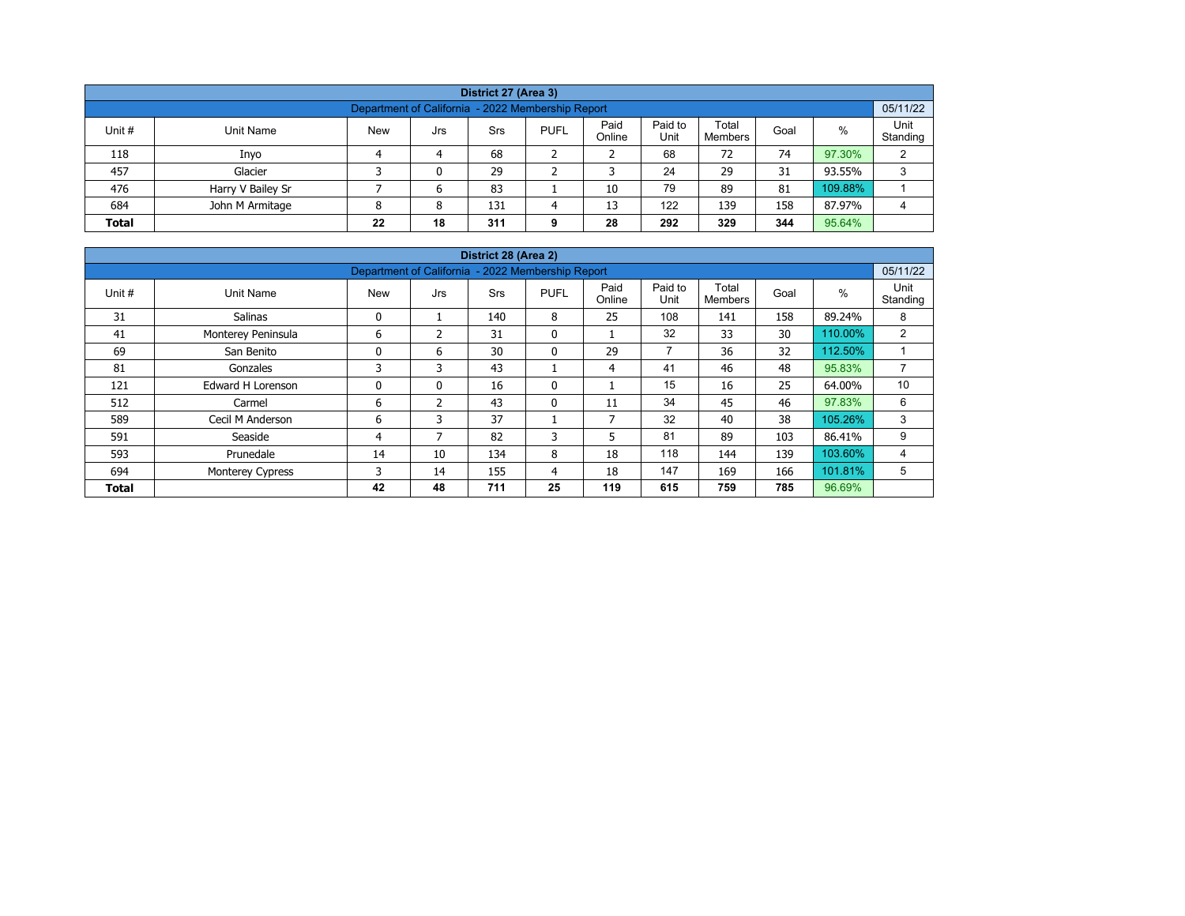| District 27 (Area 3)                                                                                                                             |                                                   |   |   |    |  |    |    |    |    |         |   |  |  |  |
|--------------------------------------------------------------------------------------------------------------------------------------------------|---------------------------------------------------|---|---|----|--|----|----|----|----|---------|---|--|--|--|
|                                                                                                                                                  | Department of California - 2022 Membership Report |   |   |    |  |    |    |    |    |         |   |  |  |  |
| Paid<br>Paid to<br>Total<br>%<br>Unit #<br><b>PUFL</b><br>Unit Name<br><b>New</b><br>Srs<br>Goal<br>Jrs<br>Unit<br>Online<br>Standing<br>Members |                                                   |   |   |    |  |    |    |    |    |         |   |  |  |  |
| 118                                                                                                                                              | Inyo                                              | 4 | 4 | 68 |  |    | 68 | 72 | 74 | 97.30%  | 2 |  |  |  |
| 457                                                                                                                                              | Glacier                                           |   | 0 | 29 |  |    | 24 | 29 | 31 | 93.55%  | 3 |  |  |  |
| 476                                                                                                                                              | Harry V Bailey Sr                                 |   | ь | 83 |  | 10 | 79 | 89 | 81 | 109.88% |   |  |  |  |
| 122<br>684<br>139<br>158<br>131<br>13<br>87.97%<br>John M Armitage<br>8<br>8                                                                     |                                                   |   |   |    |  |    |    |    |    |         |   |  |  |  |
| 292<br>344<br>95.64%<br>18<br>311<br>329<br>28<br><b>Total</b><br>22<br>Ω                                                                        |                                                   |   |   |    |  |    |    |    |    |         |   |  |  |  |

| District 28 (Area 2)                              |                         |            |                |            |              |                          |                 |                         |      |         |                  |  |  |  |
|---------------------------------------------------|-------------------------|------------|----------------|------------|--------------|--------------------------|-----------------|-------------------------|------|---------|------------------|--|--|--|
| Department of California - 2022 Membership Report |                         |            |                |            |              |                          |                 |                         |      |         |                  |  |  |  |
| Unit #                                            | Unit Name               | <b>New</b> | Jrs            | <b>Srs</b> | <b>PUFL</b>  | Paid<br>Online           | Paid to<br>Unit | Total<br><b>Members</b> | Goal | $\%$    | Unit<br>Standing |  |  |  |
| 31                                                | <b>Salinas</b>          | 0          |                | 140        | 8            | 25                       | 108             | 141                     | 158  | 89.24%  | 8                |  |  |  |
| 41                                                | Monterey Peninsula      | 6          | $\mathcal{P}$  | 31         | $\mathbf{0}$ |                          | 32              | 33                      | 30   | 110.00% | $\overline{2}$   |  |  |  |
| 69                                                | San Benito              | 0          | 6              | 30         | 0            | 29                       | $\overline{7}$  | 36                      | 32   | 112.50% |                  |  |  |  |
| 81                                                | Gonzales                | 3          | 3              | 43         |              | 4                        | 41              | 46                      | 48   | 95.83%  | $\overline{ }$   |  |  |  |
| 121                                               | Edward H Lorenson       | 0          | $\mathbf{0}$   | 16         | $\mathbf{0}$ |                          | 15              | 16                      | 25   | 64.00%  | 10               |  |  |  |
| 512                                               | Carmel                  | 6          | $\overline{2}$ | 43         | $\mathbf{0}$ | 11                       | 34              | 45                      | 46   | 97.83%  | 6                |  |  |  |
| 589                                               | Cecil M Anderson        | 6          | 3              | 37         |              | $\overline{\phantom{a}}$ | 32              | 40                      | 38   | 105.26% | 3                |  |  |  |
| 591                                               | Seaside                 | 4          | 7              | 82         | 3            | 5                        | 81              | 89                      | 103  | 86.41%  | 9                |  |  |  |
| 593                                               | Prunedale               | 14         | 10             | 134        | 8            | 18                       | 118             | 144                     | 139  | 103.60% | 4                |  |  |  |
| 694                                               | <b>Monterey Cypress</b> | 3          | 14             | 155        | 4            | 18                       | 147             | 169                     | 166  | 101.81% | 5                |  |  |  |
| <b>Total</b>                                      |                         | 42         | 48             | 711        | 25           | 119                      | 615             | 759                     | 785  | 96.69%  |                  |  |  |  |